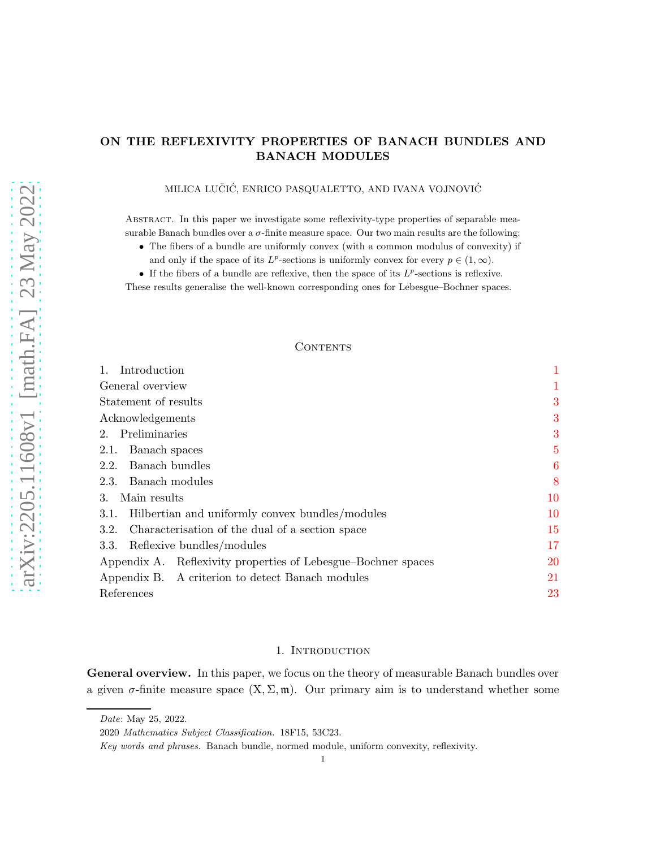# ON THE REFLEXIVITY PROPERTIES OF BANACH BUNDLES AND BANACH MODULES

# MILICA LUČIĆ, ENRICO PASQUALETTO, AND IVANA VOJNOVIĆ

Abstract. In this paper we investigate some reflexivity-type properties of separable measurable Banach bundles over a  $\sigma$ -finite measure space. Our two main results are the following:

- The fibers of a bundle are uniformly convex (with a common modulus of convexity) if
	- and only if the space of its  $L^p$ -sections is uniformly convex for every  $p \in (1, \infty)$ .
- If the fibers of a bundle are reflexive, then the space of its  $L^p$ -sections is reflexive.

These results generalise the well-known corresponding ones for Lebesgue–Bochner spaces.

## CONTENTS

| Introduction                                                  | 1              |
|---------------------------------------------------------------|----------------|
| General overview                                              | 1              |
| Statement of results                                          | 3              |
| Acknowledgements                                              | 3              |
| 2. Preliminaries                                              | 3              |
| Banach spaces<br>2.1.                                         | $\overline{5}$ |
| Banach bundles<br>2.2.                                        | 6              |
| Banach modules<br>2.3.                                        | 8              |
| Main results<br>3.                                            | 10             |
| Hilbertian and uniformly convex bundles/modules<br>3.1.       | 10             |
| Characterisation of the dual of a section space<br>3.2.       | 15             |
| Reflexive bundles/modules<br>3.3.                             | 17             |
| Appendix A. Reflexivity properties of Lebesgue–Bochner spaces | 20             |
| Appendix B. A criterion to detect Banach modules              | 21             |
| References                                                    | 23             |
|                                                               |                |

#### 1. INTRODUCTION

<span id="page-0-1"></span><span id="page-0-0"></span>General overview. In this paper, we focus on the theory of measurable Banach bundles over a given  $\sigma$ -finite measure space  $(X, \Sigma, \mathfrak{m})$ . Our primary aim is to understand whether some

Date: May 25, 2022.

<sup>2020</sup> Mathematics Subject Classification. 18F15, 53C23.

Key words and phrases. Banach bundle, normed module, uniform convexity, reflexivity.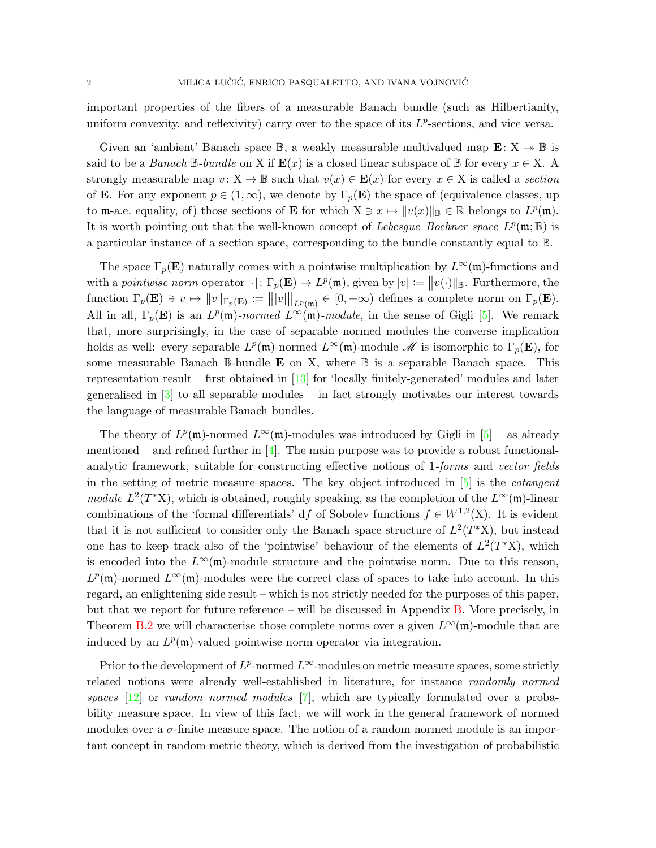important properties of the fibers of a measurable Banach bundle (such as Hilbertianity, uniform convexity, and reflexivity) carry over to the space of its  $L^p$ -sections, and vice versa.

Given an 'ambient' Banach space  $\mathbb{B}$ , a weakly measurable multivalued map  $\mathbf{E}: X \rightarrow \mathbb{B}$  is said to be a Banach  $\mathbb{B}$ -bundle on X if  $\mathbf{E}(x)$  is a closed linear subspace of  $\mathbb{B}$  for every  $x \in X$ . A strongly measurable map  $v: X \to \mathbb{B}$  such that  $v(x) \in \mathbf{E}(x)$  for every  $x \in X$  is called a section of **E**. For any exponent  $p \in (1,\infty)$ , we denote by  $\Gamma_p(\mathbf{E})$  the space of (equivalence classes, up to m-a.e. equality, of) those sections of **E** for which  $X \ni x \mapsto ||v(x)||_{\mathbb{B}} \in \mathbb{R}$  belongs to  $L^p(\mathfrak{m})$ . It is worth pointing out that the well-known concept of Lebesgue-Bochner space  $L^p(\mathfrak{m}; \mathbb{B})$  is a particular instance of a section space, corresponding to the bundle constantly equal to B.

The space  $\Gamma_p(\mathbf{E})$  naturally comes with a pointwise multiplication by  $L^{\infty}(\mathfrak{m})$ -functions and with a pointwise norm operator  $|\cdot|: \Gamma_p(\mathbf{E}) \to L^p(\mathfrak{m})$ , given by  $|v| := ||v(\cdot)||_{\mathbb{B}}$ . Furthermore, the function  $\Gamma_p(\mathbf{E}) \ni v \mapsto ||v||_{\Gamma_p(\mathbf{E})} := |||v||_{L^p(\mathfrak{m})} \in [0, +\infty)$  defines a complete norm on  $\Gamma_p(\mathbf{E})$ . All in all,  $\Gamma_p(\mathbf{E})$  is an  $L^p(\mathfrak{m})$ -normed  $L^{\infty}(\mathfrak{m})$ -module, in the sense of Gigli [\[5\]](#page-23-0). We remark that, more surprisingly, in the case of separable normed modules the converse implication holds as well: every separable  $L^p(\mathfrak{m})$ -normed  $L^{\infty}(\mathfrak{m})$ -module  $\mathscr{M}$  is isomorphic to  $\Gamma_p(\mathbf{E})$ , for some measurable Banach  $\mathbb{B}$ -bundle **E** on X, where  $\mathbb{B}$  is a separable Banach space. This representation result – first obtained in  $[13]$  for 'locally finitely-generated' modules and later generalised in [\[3\]](#page-23-2) to all separable modules – in fact strongly motivates our interest towards the language of measurable Banach bundles.

The theory of  $L^p(\mathfrak{m})$ -normed  $L^{\infty}(\mathfrak{m})$ -modules was introduced by Gigli in [\[5\]](#page-23-0) – as already mentioned – and refined further in  $[4]$ . The main purpose was to provide a robust functionalanalytic framework, suitable for constructing effective notions of 1-forms and vector fields in the setting of metric measure spaces. The key object introduced in [\[5\]](#page-23-0) is the cotangent module  $L^2(T^*X)$ , which is obtained, roughly speaking, as the completion of the  $L^{\infty}(\mathfrak{m})$ -linear combinations of the 'formal differentials' df of Sobolev functions  $f \in W^{1,2}(\mathbf{X})$ . It is evident that it is not sufficient to consider only the Banach space structure of  $L^2(T^*X)$ , but instead one has to keep track also of the 'pointwise' behaviour of the elements of  $L^2(T^*X)$ , which is encoded into the  $L^{\infty}(\mathfrak{m})$ -module structure and the pointwise norm. Due to this reason,  $L^p(\mathfrak{m})$ -normed  $L^{\infty}(\mathfrak{m})$ -modules were the correct class of spaces to take into account. In this regard, an enlightening side result – which is not strictly needed for the purposes of this paper, but that we report for future reference – will be discussed in Appendix [B.](#page-20-0) More precisely, in Theorem [B.2](#page-21-0) we will characterise those complete norms over a given  $L^{\infty}(\mathfrak{m})$ -module that are induced by an  $L^p(\mathfrak{m})$ -valued pointwise norm operator via integration.

Prior to the development of  $L^p$ -normed  $L^\infty$ -modules on metric measure spaces, some strictly related notions were already well-established in literature, for instance *randomly normed* spaces  $[12]$  or random normed modules  $[7]$ , which are typically formulated over a probability measure space. In view of this fact, we will work in the general framework of normed modules over a  $\sigma$ -finite measure space. The notion of a random normed module is an important concept in random metric theory, which is derived from the investigation of probabilistic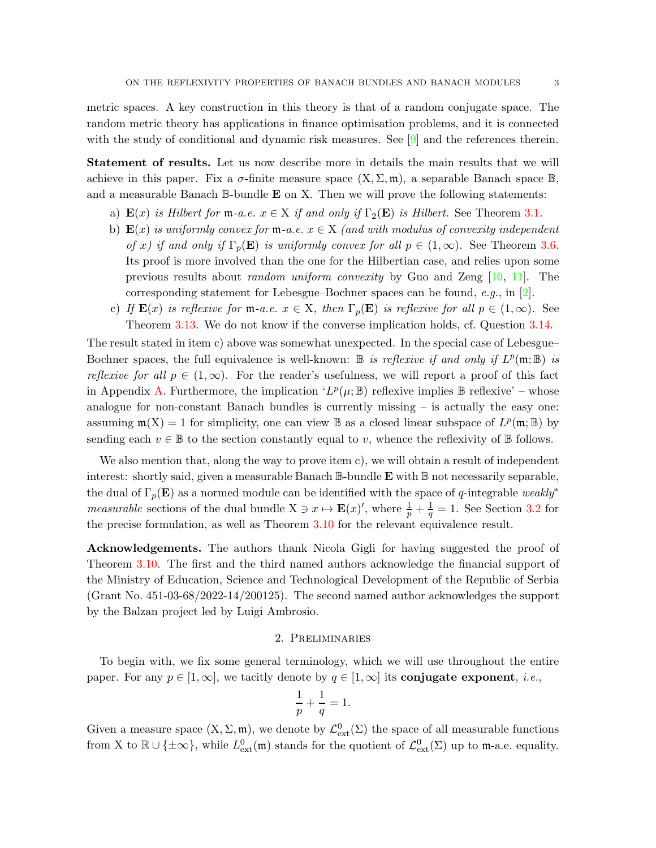metric spaces. A key construction in this theory is that of a random conjugate space. The random metric theory has applications in finance optimisation problems, and it is connected with the study of conditional and dynamic risk measures. See [\[9\]](#page-23-6) and the references therein.

<span id="page-2-0"></span>Statement of results. Let us now describe more in details the main results that we will achieve in this paper. Fix a  $\sigma$ -finite measure space  $(X, \Sigma, \mathfrak{m})$ , a separable Banach space  $\mathbb{B}$ , and a measurable Banach  $\mathbb B$ -bundle **E** on X. Then we will prove the following statements:

- a)  $\mathbf{E}(x)$  is Hilbert for  $\mathfrak{m}$ -a.e.  $x \in X$  if and only if  $\Gamma_2(\mathbf{E})$  is Hilbert. See Theorem [3.1.](#page-9-2)
- b)  $\mathbf{E}(x)$  is uniformly convex for  $\mathfrak{m}$ -a.e.  $x \in X$  (and with modulus of convexity independent of x) if and only if  $\Gamma_p(\mathbf{E})$  is uniformly convex for all  $p \in (1,\infty)$ . See Theorem [3.6.](#page-12-0) Its proof is more involved than the one for the Hilbertian case, and relies upon some previous results about random uniform convexity by Guo and Zeng [\[10,](#page-23-7) [11\]](#page-23-8). The corresponding statement for Lebesgue–Bochner spaces can be found, e.g., in [\[2\]](#page-22-1).
- c) If  $\mathbf{E}(x)$  is reflexive for  $\mathfrak{m}$ -a.e.  $x \in X$ , then  $\Gamma_p(\mathbf{E})$  is reflexive for all  $p \in (1,\infty)$ . See Theorem [3.13.](#page-18-0) We do not know if the converse implication holds, cf. Question [3.14.](#page-19-1)

The result stated in item c) above was somewhat unexpected. In the special case of Lebesgue– Bochner spaces, the full equivalence is well-known:  $\mathbb B$  is reflexive if and only if  $L^p(\mathfrak{m}; \mathbb B)$  is reflexive for all  $p \in (1,\infty)$ . For the reader's usefulness, we will report a proof of this fact in Appendix [A.](#page-19-0) Furthermore, the implication  $'L^p(\mu;\mathbb{B})$  reflexive implies  $\mathbb B$  reflexive' – whose analogue for non-constant Banach bundles is currently missing – is actually the easy one: assuming  $\mathfrak{m}(X) = 1$  for simplicity, one can view  $\mathbb B$  as a closed linear subspace of  $L^p(\mathfrak{m}; \mathbb B)$  by sending each  $v \in \mathbb{B}$  to the section constantly equal to v, whence the reflexivity of  $\mathbb{B}$  follows.

We also mention that, along the way to prove item c), we will obtain a result of independent interest: shortly said, given a measurable Banach  $\mathbb B$ -bundle  $\mathbf E$  with  $\mathbb B$  not necessarily separable, the dual of  $\Gamma_p(E)$  as a normed module can be identified with the space of q-integrable weakly<sup>\*</sup> *measurable* sections of the dual bundle  $X \ni x \mapsto \mathbf{E}(x)'$ , where  $\frac{1}{p} + \frac{1}{q} = 1$ . See Section [3.2](#page-14-0) for the precise formulation, as well as Theorem [3.10](#page-14-1) for the relevant equivalence result.

<span id="page-2-1"></span>Acknowledgements. The authors thank Nicola Gigli for having suggested the proof of Theorem [3.10.](#page-14-1) The first and the third named authors acknowledge the financial support of the Ministry of Education, Science and Technological Development of the Republic of Serbia (Grant No. 451-03-68/2022-14/200125). The second named author acknowledges the support by the Balzan project led by Luigi Ambrosio.

#### 2. Preliminaries

<span id="page-2-2"></span>To begin with, we fix some general terminology, which we will use throughout the entire paper. For any  $p \in [1,\infty]$ , we tacitly denote by  $q \in [1,\infty]$  its conjugate exponent, *i.e.*,

$$
\frac{1}{p} + \frac{1}{q} = 1.
$$

Given a measure space  $(X, \Sigma, \mathfrak{m})$ , we denote by  $\mathcal{L}^0_{ext}(\Sigma)$  the space of all measurable functions from X to  $\mathbb{R} \cup \{\pm \infty\}$ , while  $L^0_{\text{ext}}(\mathfrak{m})$  stands for the quotient of  $\mathcal{L}^0_{\text{ext}}(\Sigma)$  up to  $\mathfrak{m}$ -a.e. equality.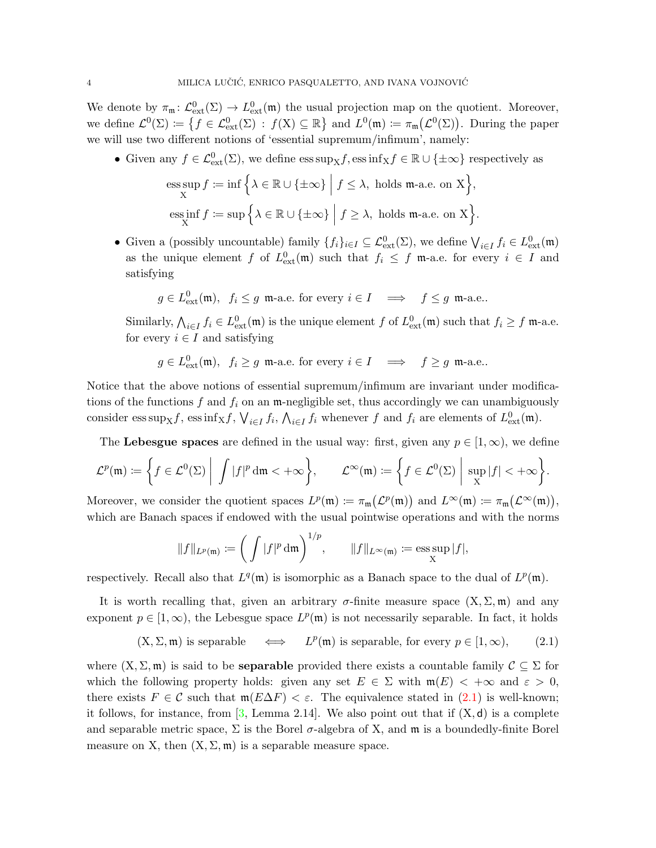We denote by  $\pi_{\mathfrak{m}}: \mathcal{L}^0_{ext}(\Sigma) \to L^0_{ext}(\mathfrak{m})$  the usual projection map on the quotient. Moreover, we define  $\mathcal{L}^0(\Sigma) := \left\{ f \in \mathcal{L}^0_{ext}(\Sigma) : f(\mathbf{X}) \subseteq \mathbb{R} \right\}$  and  $L^0(\mathfrak{m}) := \pi_{\mathfrak{m}}(\mathcal{L}^0(\Sigma))$ . During the paper we will use two different notions of 'essential supremum/infimum', namely:

• Given any  $f \in \mathcal{L}_{ext}^{0}(\Sigma)$ , we define  $\operatorname{ess} \sup_{X} f$ ,  $\operatorname{ess} \inf_{X} f \in \mathbb{R} \cup \{\pm \infty\}$  respectively as

ess sup 
$$
f := \inf \Big\{ \lambda \in \mathbb{R} \cup \{\pm \infty\} \mid f \leq \lambda
$$
, holds m-a.e. on X $\Big\}$ ,  
ess inf  $f := \sup \Big\{ \lambda \in \mathbb{R} \cup \{\pm \infty\} \mid f \geq \lambda$ , holds m-a.e. on X $\Big\}$ .

• Given a (possibly uncountable) family  $\{f_i\}_{i\in I}\subseteq \mathcal{L}^0_{\text{ext}}(\Sigma)$ , we define  $\bigvee_{i\in I} f_i \in L^0_{\text{ext}}(\mathfrak{m})$ as the unique element f of  $L_{ext}^0(\mathfrak{m})$  such that  $f_i \leq f$  m-a.e. for every  $i \in I$  and satisfying

$$
g \in L^0_{ext}(\mathfrak{m}), f_i \leq g \mathfrak{m}
$$
-a.e. for every  $i \in I \implies f \leq g \mathfrak{m}$ -a.e..

Similarly,  $\bigwedge_{i\in I} f_i \in L^0_{ext}(\mathfrak{m})$  is the unique element f of  $L^0_{ext}(\mathfrak{m})$  such that  $f_i \geq f$  m-a.e. for every  $i \in I$  and satisfying

$$
g \in L^0_{\text{ext}}(\mathfrak{m}), \ f_i \ge g \ \mathfrak{m}\text{-a.e. for every } i \in I \implies f \ge g \ \mathfrak{m}\text{-a.e.}.
$$

Notice that the above notions of essential supremum/infimum are invariant under modifications of the functions f and  $f_i$  on an m-negligible set, thus accordingly we can unambiguously consider  $\text{ess sup}_X f$ ,  $\text{ess inf}_X f$ ,  $\bigvee_{i \in I} f_i$ ,  $\bigwedge_{i \in I} f_i$  whenever f and  $f_i$  are elements of  $L^0_{\text{ext}}(\mathfrak{m})$ .

The Lebesgue spaces are defined in the usual way: first, given any  $p \in [1,\infty)$ , we define

$$
\mathcal{L}^p(\mathfrak{m}) \coloneqq \bigg\{ f \in \mathcal{L}^0(\Sigma) \bigg| \int |f|^p \, \mathrm{d}\mathfrak{m} < +\infty \bigg\}, \qquad \mathcal{L}^\infty(\mathfrak{m}) \coloneqq \bigg\{ f \in \mathcal{L}^0(\Sigma) \bigg| \, \sup_X |f| < +\infty \bigg\}.
$$

Moreover, we consider the quotient spaces  $L^p(\mathfrak{m}) := \pi_{\mathfrak{m}}(L^p(\mathfrak{m}))$  and  $L^{\infty}(\mathfrak{m}) := \pi_{\mathfrak{m}}(L^{\infty}(\mathfrak{m})),$ which are Banach spaces if endowed with the usual pointwise operations and with the norms

$$
||f||_{L^p(\mathfrak{m})} := \left(\int |f|^p \, \mathrm{d}\mathfrak{m}\right)^{1/p}, \qquad ||f||_{L^\infty(\mathfrak{m})} := \operatorname{ess} \sup_X |f|,
$$

respectively. Recall also that  $L^q(\mathfrak{m})$  is isomorphic as a Banach space to the dual of  $L^p(\mathfrak{m})$ .

It is worth recalling that, given an arbitrary  $\sigma$ -finite measure space  $(X, \Sigma, \mathfrak{m})$  and any exponent  $p \in [1,\infty)$ , the Lebesgue space  $L^p(\mathfrak{m})$  is not necessarily separable. In fact, it holds

<span id="page-3-0"></span>
$$
(X, \Sigma, \mathfrak{m})
$$
 is separable  $\iff$   $L^p(\mathfrak{m})$  is separable, for every  $p \in [1, \infty)$ ,  $(2.1)$ 

where  $(X, \Sigma, \mathfrak{m})$  is said to be **separable** provided there exists a countable family  $C \subseteq \Sigma$  for which the following property holds: given any set  $E \in \Sigma$  with  $\mathfrak{m}(E) < +\infty$  and  $\varepsilon > 0$ , there exists  $F \in \mathcal{C}$  such that  $\mathfrak{m}(E\Delta F) < \varepsilon$ . The equivalence stated in [\(2.1\)](#page-3-0) is well-known; it follows, for instance, from  $[3, \text{Lemma } 2.14]$ . We also point out that if  $(X, d)$  is a complete and separable metric space,  $\Sigma$  is the Borel  $\sigma$ -algebra of X, and  $\mathfrak{m}$  is a boundedly-finite Borel measure on X, then  $(X, \Sigma, \mathfrak{m})$  is a separable measure space.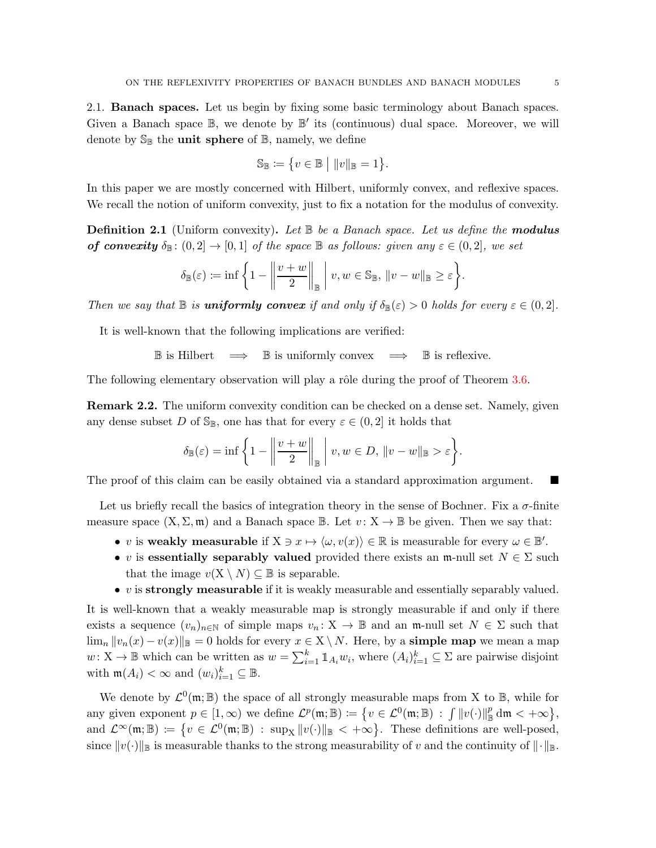$$
\mathbb{S}_{\mathbb{B}} \coloneqq \{ v \in \mathbb{B} \mid ||v||_{\mathbb{B}} = 1 \}.
$$

<span id="page-4-0"></span>In this paper we are mostly concerned with Hilbert, uniformly convex, and reflexive spaces. We recall the notion of uniform convexity, just to fix a notation for the modulus of convexity.

**Definition 2.1** (Uniform convexity). Let  $\mathbb{B}$  be a Banach space. Let us define the **modulus** of convexity  $\delta_{\mathbb{B}}: (0,2] \to [0,1]$  of the space  $\mathbb{B}$  as follows: given any  $\varepsilon \in (0,2]$ , we set

$$
\delta_{\mathbb{B}}(\varepsilon) := \inf \left\{ 1 - \left\| \frac{v+w}{2} \right\|_{\mathbb{B}} \mid v, w \in \mathbb{S}_{\mathbb{B}}, \|v-w\|_{\mathbb{B}} \ge \varepsilon \right\}.
$$

Then we say that  $\mathbb B$  is **uniformly convex** if and only if  $\delta_{\mathbb B}(\varepsilon) > 0$  holds for every  $\varepsilon \in (0, 2]$ .

It is well-known that the following implications are verified:

 $\mathbb B$  is Hilbert  $\implies \mathbb B$  is uniformly convex  $\implies \mathbb B$  is reflexive.

The following elementary observation will play a rôle during the proof of Theorem [3.6.](#page-12-0)

<span id="page-4-1"></span>Remark 2.2. The uniform convexity condition can be checked on a dense set. Namely, given any dense subset D of  $\mathbb{S}_{\mathbb{B}}$ , one has that for every  $\varepsilon \in (0, 2]$  it holds that

$$
\delta_{\mathbb{B}}(\varepsilon) = \inf \left\{ 1 - \left\| \frac{v+w}{2} \right\|_{\mathbb{B}} \mid v, w \in D, \|v-w\|_{\mathbb{B}} > \varepsilon \right\}.
$$

The proof of this claim can be easily obtained via a standard approximation argument.

Let us briefly recall the basics of integration theory in the sense of Bochner. Fix a  $\sigma$ -finite measure space  $(X, \Sigma, \mathfrak{m})$  and a Banach space  $\mathbb{B}$ . Let  $v : X \to \mathbb{B}$  be given. Then we say that:

- v is weakly measurable if  $X \ni x \mapsto \langle \omega, v(x) \rangle \in \mathbb{R}$  is measurable for every  $\omega \in \mathbb{B}'$ .
- v is essentially separably valued provided there exists an m-null set  $N \in \Sigma$  such that the image  $v(X \setminus N) \subseteq \mathbb{B}$  is separable.
- $v$  is strongly measurable if it is weakly measurable and essentially separably valued.

It is well-known that a weakly measurable map is strongly measurable if and only if there exists a sequence  $(v_n)_{n\in\mathbb{N}}$  of simple maps  $v_n: X \to \mathbb{B}$  and an m-null set  $N \in \Sigma$  such that  $\lim_{n} ||v_n(x) - v(x)||_{\mathbb{B}} = 0$  holds for every  $x \in X \setminus N$ . Here, by a simple map we mean a map  $w: X \to \mathbb{B}$  which can be written as  $w = \sum_{i=1}^{k} \mathbb{1}_{A_i} w_i$ , where  $(A_i)_{i=1}^k \subseteq \Sigma$  are pairwise disjoint with  $\mathfrak{m}(A_i) < \infty$  and  $(w_i)_{i=1}^k \subseteq \mathbb{B}$ .

We denote by  $\mathcal{L}^0(\mathfrak{m};\mathbb{B})$  the space of all strongly measurable maps from X to  $\mathbb{B}$ , while for any given exponent  $p \in [1,\infty)$  we define  $\mathcal{L}^p(\mathfrak{m};\mathbb{B}) := \{v \in \mathcal{L}^0(\mathfrak{m};\mathbb{B}) : \|f\|_v(\cdot)\|_{\mathbb{B}}^p\}$  $\frac{p}{\mathbb{B}}\, \mathrm{d}\mathfrak{m} < +\infty\big\},\,$ and  $\mathcal{L}^{\infty}(\mathfrak{m};\mathbb{B}) := \{v \in \mathcal{L}^{0}(\mathfrak{m};\mathbb{B}) : \sup_{X} ||v(\cdot)||_{\mathbb{B}} < +\infty\}.$  These definitions are well-posed, since  $||v(\cdot)||_{\mathbb{B}}$  is measurable thanks to the strong measurability of v and the continuity of  $||\cdot||_{\mathbb{B}}$ .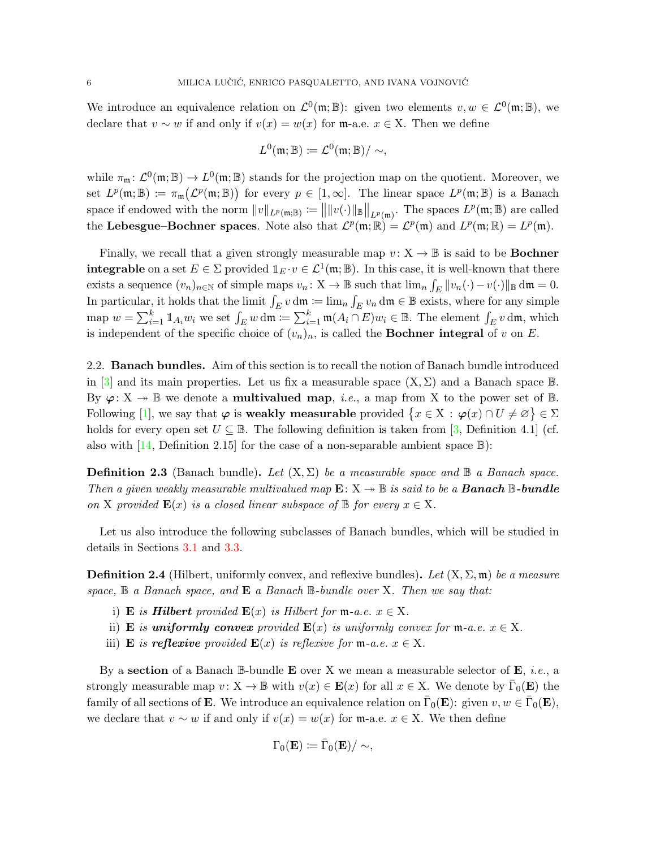We introduce an equivalence relation on  $\mathcal{L}^0(\mathfrak{m}; \mathbb{B})$ : given two elements  $v, w \in \mathcal{L}^0(\mathfrak{m}; \mathbb{B})$ , we declare that  $v \sim w$  if and only if  $v(x) = w(x)$  for m-a.e.  $x \in X$ . Then we define

$$
L^0(\mathfrak{m};\mathbb{B})\coloneqq L^0(\mathfrak{m};\mathbb{B})/\sim,
$$

while  $\pi_{\mathfrak{m}}: \mathcal{L}^0(\mathfrak{m}; \mathbb{B}) \to L^0(\mathfrak{m}; \mathbb{B})$  stands for the projection map on the quotient. Moreover, we set  $L^p(\mathfrak{m};\mathbb{B}) := \pi_{\mathfrak{m}}(\mathcal{L}^p(\mathfrak{m};\mathbb{B}))$  for every  $p \in [1,\infty]$ . The linear space  $L^p(\mathfrak{m};\mathbb{B})$  is a Banach space if endowed with the norm  $||v||_{L^p(\mathfrak{m},\mathbb{B})} := ||||v(\cdot)||_{\mathbb{B}}||_{L^p(\mathfrak{m})}$ . The spaces  $L^p(\mathfrak{m},\mathbb{B})$  are called the Lebesgue–Bochner spaces. Note also that  $\mathcal{L}^p(\mathfrak{m}; \mathbb{R}) = \mathcal{L}^p(\mathfrak{m})$  and  $L^p(\mathfrak{m}; \mathbb{R}) = L^p(\mathfrak{m})$ .

Finally, we recall that a given strongly measurable map  $v: X \to \mathbb{B}$  is said to be **Bochner integrable** on a set  $E \in \Sigma$  provided  $\mathbb{1}_E \cdot v \in \mathcal{L}^1(\mathfrak{m}; \mathbb{B})$ . In this case, it is well-known that there exists a sequence  $(v_n)_{n\in\mathbb{N}}$  of simple maps  $v_n: X \to \mathbb{B}$  such that  $\lim_n \int_E ||v_n(\cdot) - v(\cdot)||_{\mathbb{B}} dm = 0$ . In particular, it holds that the limit  $\int_E v \, dm := \lim_n \int_E v_n \, dm \in \mathbb{B}$  exists, where for any simple map  $w = \sum_{i=1}^k \mathbb{1}_{A_i} w_i$  we set  $\int_E w \, \mathrm{d}\mathfrak{m} := \sum_{i=1}^k \mathfrak{m}(A_i \cap E) w_i \in \mathbb{B}$ . The element  $\int_E v \, \mathrm{d}\mathfrak{m}$ , which is independent of the specific choice of  $(v_n)_n$ , is called the **Bochner integral** of v on E.

<span id="page-5-0"></span>2.2. Banach bundles. Aim of this section is to recall the notion of Banach bundle introduced in [\[3\]](#page-23-2) and its main properties. Let us fix a measurable space  $(X, \Sigma)$  and a Banach space  $\mathbb{B}$ . By  $\varphi: X \to \mathbb{B}$  we denote a **multivalued map**, *i.e.*, a map from X to the power set of  $\mathbb{B}$ . Following [\[1\]](#page-22-2), we say that  $\varphi$  is weakly measurable provided  $\{x \in X : \varphi(x) \cap U \neq \varnothing\} \in \Sigma$ holds for every open set  $U \subseteq \mathbb{B}$ . The following definition is taken from [\[3,](#page-23-2) Definition 4.1] (cf. also with  $[14,$  Definition 2.15 for the case of a non-separable ambient space  $\mathbb{B}$ ):

**Definition 2.3** (Banach bundle). Let  $(X, \Sigma)$  be a measurable space and  $\mathbb{B}$  a Banach space. Then a given weakly measurable multivalued map  $\mathbf{E}: \mathbf{X} \to \mathbb{B}$  is said to be a **Banach**  $\mathbb{B}\text{-bundle}$ on X provided  $\mathbf{E}(x)$  is a closed linear subspace of  $\mathbb{B}$  for every  $x \in X$ .

Let us also introduce the following subclasses of Banach bundles, which will be studied in details in Sections [3.1](#page-9-1) and [3.3.](#page-16-0)

**Definition 2.4** (Hilbert, uniformly convex, and reflexive bundles). Let  $(X, \Sigma, \mathfrak{m})$  be a measure space,  $\mathbb B$  a Banach space, and  $\mathbf E$  a Banach  $\mathbb B$ -bundle over X. Then we say that:

- i) E is **Hilbert** provided  $\mathbf{E}(x)$  is Hilbert for  $m$ -a.e.  $x \in X$ .
- ii) E is uniformly convex provided  $E(x)$  is uniformly convex for  $m-a.e.$   $x \in X$ .
- iii) **E** is **reflexive** provided  $\mathbf{E}(x)$  is reflexive for **m**-a.e.  $x \in X$ .

By a section of a Banach  $\mathbb B$ -bundle **E** over X we mean a measurable selector of **E**, *i.e.*, a strongly measurable map  $v: X \to \mathbb{B}$  with  $v(x) \in \mathbf{E}(x)$  for all  $x \in X$ . We denote by  $\overline{\Gamma}_0(\mathbf{E})$  the family of all sections of **E**. We introduce an equivalence relation on  $\bar{\Gamma}_0(\mathbf{E})$ : given  $v, w \in \bar{\Gamma}_0(\mathbf{E})$ , we declare that  $v \sim w$  if and only if  $v(x) = w(x)$  for m-a.e.  $x \in X$ . We then define

$$
\Gamma_0(\mathbf{E})\coloneqq\bar{\Gamma}_0(\mathbf{E})/\sim,
$$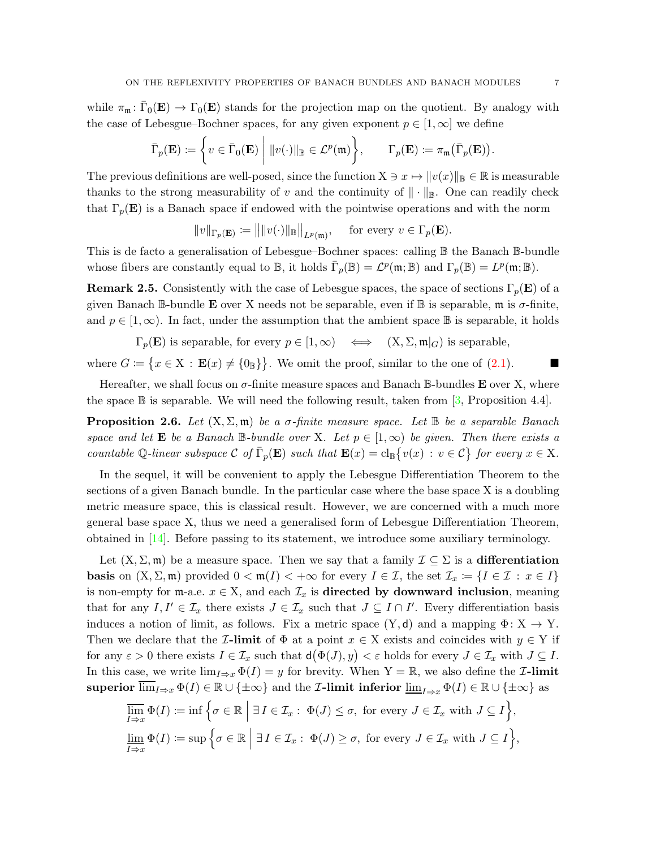while  $\pi_{\mathfrak{m}} \colon \overline{\Gamma}_0(\mathbf{E}) \to \Gamma_0(\mathbf{E})$  stands for the projection map on the quotient. By analogy with the case of Lebesgue–Bochner spaces, for any given exponent  $p \in [1,\infty]$  we define

$$
\bar{\Gamma}_p(\mathbf{E}) \coloneqq \left\{ v \in \bar{\Gamma}_0(\mathbf{E}) \middle| ||v(\cdot)||_{\mathbb{B}} \in \mathcal{L}^p(\mathfrak{m}) \right\}, \qquad \Gamma_p(\mathbf{E}) \coloneqq \pi_{\mathfrak{m}}(\bar{\Gamma}_p(\mathbf{E})).
$$

The previous definitions are well-posed, since the function  $X \ni x \mapsto ||v(x)||_{\mathbb{B}} \in \mathbb{R}$  is measurable thanks to the strong measurability of v and the continuity of  $\|\cdot\|_{\mathbb{B}}$ . One can readily check that  $\Gamma_p(E)$  is a Banach space if endowed with the pointwise operations and with the norm

 $||v||_{\Gamma_p(\mathbf{E})} := |||v(\cdot)||_{\mathbb{B}}||_{L^p(\mathfrak{m})}, \quad \text{ for every } v \in \Gamma_p(\mathbf{E}).$ 

This is de facto a generalisation of Lebesgue–Bochner spaces: calling B the Banach B-bundle whose fibers are constantly equal to  $\mathbb{B}$ , it holds  $\overline{\Gamma}_p(\mathbb{B}) = \mathcal{L}^p(\mathfrak{m}; \mathbb{B})$  and  $\Gamma_p(\mathbb{B}) = L^p(\mathfrak{m}; \mathbb{B})$ .

**Remark 2.5.** Consistently with the case of Lebesgue spaces, the space of sections  $\Gamma_p(\mathbf{E})$  of a given Banach B-bundle **E** over X needs not be separable, even if B is separable,  $\mathfrak{m}$  is  $\sigma$ -finite, and  $p \in [1,\infty)$ . In fact, under the assumption that the ambient space B is separable, it holds

 $\Gamma_n(\mathbf{E})$  is separable, for every  $p \in [1,\infty) \iff (X,\Sigma,\mathfrak{m}|_G)$  is separable,

where  $G \coloneqq \{x \in X : \mathbf{E}(x) \neq \{0\} \}$ . We omit the proof, similar to the one of [\(2.1\)](#page-3-0).

Hereafter, we shall focus on  $\sigma$ -finite measure spaces and Banach B-bundles **E** over X, where the space  $\mathbb B$  is separable. We will need the following result, taken from [\[3,](#page-23-2) Proposition 4.4].

<span id="page-6-0"></span>**Proposition 2.6.** Let  $(X, \Sigma, \mathfrak{m})$  be a  $\sigma$ -finite measure space. Let  $\mathbb{B}$  be a separable Banach space and let **E** be a Banach B-bundle over X. Let  $p \in [1,\infty)$  be given. Then there exists a countable Q-linear subspace C of  $\overline{\Gamma}_p(\mathbf{E})$  such that  $\mathbf{E}(x) = \text{cl}_{\mathbb{B}}\{v(x) : v \in \mathcal{C}\}\)$  for every  $x \in X$ .

In the sequel, it will be convenient to apply the Lebesgue Differentiation Theorem to the sections of a given Banach bundle. In the particular case where the base space X is a doubling metric measure space, this is classical result. However, we are concerned with a much more general base space X, thus we need a generalised form of Lebesgue Differentiation Theorem, obtained in [\[14\]](#page-23-9). Before passing to its statement, we introduce some auxiliary terminology.

Let  $(X, \Sigma, \mathfrak{m})$  be a measure space. Then we say that a family  $\mathcal{I} \subseteq \Sigma$  is a **differentiation basis** on  $(X, \Sigma, \mathfrak{m})$  provided  $0 < \mathfrak{m}(I) < +\infty$  for every  $I \in \mathcal{I}$ , the set  $\mathcal{I}_x := \{I \in \mathcal{I} : x \in I\}$ is non-empty for m-a.e.  $x \in X$ , and each  $\mathcal{I}_x$  is **directed by downward inclusion**, meaning that for any  $I, I' \in \mathcal{I}_x$  there exists  $J \in \mathcal{I}_x$  such that  $J \subseteq I \cap I'$ . Every differentiation basis induces a notion of limit, as follows. Fix a metric space  $(Y, d)$  and a mapping  $\Phi: X \to Y$ . Then we declare that the **I-limit** of  $\Phi$  at a point  $x \in X$  exists and coincides with  $y \in Y$  if for any  $\varepsilon > 0$  there exists  $I \in \mathcal{I}_x$  such that  $d(\Phi(J), y) < \varepsilon$  holds for every  $J \in \mathcal{I}_x$  with  $J \subseteq I$ . In this case, we write  $\lim_{I\to x}\Phi(I)=y$  for brevity. When  $Y=\mathbb{R}$ , we also define the *Z*-limit superior  $\lim_{I\to x}\Phi(I)\in\mathbb{R}\cup\{\pm\infty\}$  and the *I*-limit inferior  $\underline{\lim}_{I\to x}\Phi(I)\in\mathbb{R}\cup\{\pm\infty\}$  as

$$
\overline{\lim}_{I \to x} \Phi(I) := \inf \Big\{ \sigma \in \mathbb{R} \Big| \ \exists I \in \mathcal{I}_x : \ \Phi(J) \leq \sigma, \text{ for every } J \in \mathcal{I}_x \text{ with } J \subseteq I \Big\},
$$
  

$$
\underline{\lim}_{I \to x} \Phi(I) := \sup \Big\{ \sigma \in \mathbb{R} \Big| \ \exists I \in \mathcal{I}_x : \ \Phi(J) \geq \sigma, \text{ for every } J \in \mathcal{I}_x \text{ with } J \subseteq I \Big\},
$$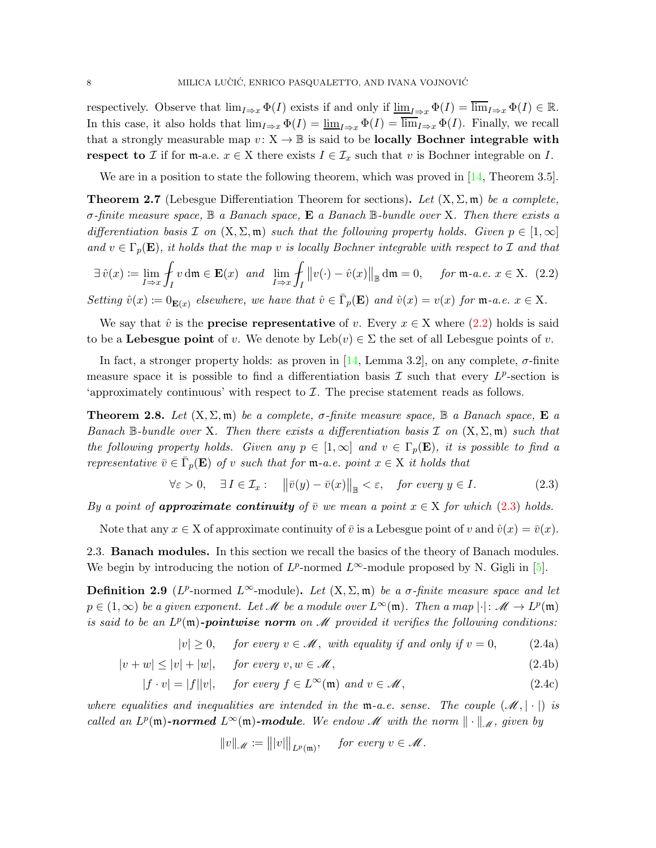respectively. Observe that  $\lim_{I\to x} \Phi(I)$  exists if and only if  $\underline{\lim}_{I\to x} \Phi(I) = \lim_{I\to x} \Phi(I) \in \mathbb{R}$ . In this case, it also holds that  $\lim_{I\to x} \Phi(I) = \lim_{I\to x} \Phi(I) = \lim_{I\to x} \Phi(I)$ . Finally, we recall that a strongly measurable map  $v: X \to \mathbb{B}$  is said to be **locally Bochner integrable with** respect to I if for m-a.e.  $x \in X$  there exists  $I \in \mathcal{I}_x$  such that v is Bochner integrable on I.

We are in a position to state the following theorem, which was proved in [\[14,](#page-23-9) Theorem 3.5].

<span id="page-7-6"></span>**Theorem 2.7** (Lebesgue Differentiation Theorem for sections). Let  $(X, \Sigma, \mathfrak{m})$  be a complete,  $\sigma$ -finite measure space,  $\mathbb B$  a Banach space, **E** a Banach  $\mathbb B$ -bundle over X. Then there exists a differentiation basis I on  $(X, \Sigma, \mathfrak{m})$  such that the following property holds. Given  $p \in [1,\infty]$ and  $v \in \Gamma_p(\mathbf{E})$ , it holds that the map v is locally Bochner integrable with respect to I and that

<span id="page-7-1"></span>
$$
\exists \hat{v}(x) := \lim_{I \to x} \oint_I v \, \mathrm{d}\mathfrak{m} \in \mathbf{E}(x) \quad \text{and} \quad \lim_{I \to x} \oint_I \left\| v(\cdot) - \hat{v}(x) \right\|_{\mathbb{B}} \, \mathrm{d}\mathfrak{m} = 0, \quad \text{for } \mathfrak{m}\text{-}a.e. \ x \in X. \tag{2.2}
$$

Setting  $\hat{v}(x) := 0_{\mathbf{E}(x)}$  elsewhere, we have that  $\hat{v} \in \bar{\Gamma}_p(\mathbf{E})$  and  $\hat{v}(x) = v(x)$  for  $\mathfrak{m}$ -a.e.  $x \in X$ .

We say that  $\hat{v}$  is the **precise representative** of v. Every  $x \in X$  where [\(2.2\)](#page-7-1) holds is said to be a Lebesgue point of v. We denote by  $\text{Leb}(v) \in \Sigma$  the set of all Lebesgue points of v.

In fact, a stronger property holds: as proven in [\[14,](#page-23-9) Lemma 3.2], on any complete,  $\sigma$ -finite measure space it is possible to find a differentiation basis  $\mathcal I$  such that every  $L^p$ -section is 'approximately continuous' with respect to  $\mathcal I$ . The precise statement reads as follows.

<span id="page-7-7"></span>**Theorem 2.8.** Let  $(X, \Sigma, \mathfrak{m})$  be a complete,  $\sigma$ -finite measure space,  $\mathbb{B}$  a Banach space,  $\mathbb{E}$  a Banach B-bundle over X. Then there exists a differentiation basis  $\mathcal I$  on  $(X, \Sigma, \mathfrak{m})$  such that the following property holds. Given any  $p \in [1,\infty]$  and  $v \in \Gamma_p(\mathbf{E})$ , it is possible to find a representative  $\bar{v} \in \bar{\Gamma}_p(\mathbf{E})$  of v such that for  $\mathfrak{m}$ -a.e. point  $x \in X$  it holds that

<span id="page-7-2"></span>
$$
\forall \varepsilon > 0, \quad \exists I \in \mathcal{I}_x: \quad \left\| \bar{v}(y) - \bar{v}(x) \right\|_{\mathbb{B}} < \varepsilon, \quad \text{for every } y \in I. \tag{2.3}
$$

By a point of **approximate continuity** of  $\overline{v}$  we mean a point  $x \in X$  for which [\(2.3\)](#page-7-2) holds.

<span id="page-7-0"></span>Note that any  $x \in X$  of approximate continuity of  $\overline{v}$  is a Lebesgue point of v and  $\hat{v}(x) = \overline{v}(x)$ .

2.3. Banach modules. In this section we recall the basics of the theory of Banach modules. We begin by introducing the notion of  $L^p$ -normed  $L^\infty$ -module proposed by N. Gigli in [\[5\]](#page-23-0).

**Definition 2.9** (L<sup>p</sup>-normed L<sup>∞</sup>-module). Let  $(X, \Sigma, \mathfrak{m})$  be a  $\sigma$ -finite measure space and let  $p \in (1,\infty)$  be a given exponent. Let M be a module over  $L^{\infty}(\mathfrak{m})$ . Then a map  $|\cdot|: \mathscr{M} \to L^p(\mathfrak{m})$ is said to be an  $L^p(\mathfrak{m})$ -pointwise norm on M provided it verifies the following conditions:

 $|v| \geq 0$ , for every  $v \in \mathcal{M}$ , with equality if and only if  $v = 0$ , (2.4a)

$$
|v + w| \le |v| + |w|, \quad \text{for every } v, w \in \mathcal{M}, \tag{2.4b}
$$

$$
|f \cdot v| = |f||v|, \quad \text{for every } f \in L^{\infty}(\mathfrak{m}) \text{ and } v \in \mathcal{M}, \tag{2.4c}
$$

where equalities and inequalities are intended in the  $m-a.e.$  sense. The couple  $(\mathcal{M}, |\cdot|)$  is called an  $L^p(\mathfrak{m})$ -normed  $L^{\infty}(\mathfrak{m})$ -module. We endow M with the norm  $\|\cdot\|_{\mathcal{M}}$ , given by

<span id="page-7-5"></span><span id="page-7-4"></span><span id="page-7-3"></span>
$$
||v||_{\mathscr{M}} := |||v||_{L^p(\mathfrak{m})}, \quad \text{ for every } v \in \mathscr{M}.
$$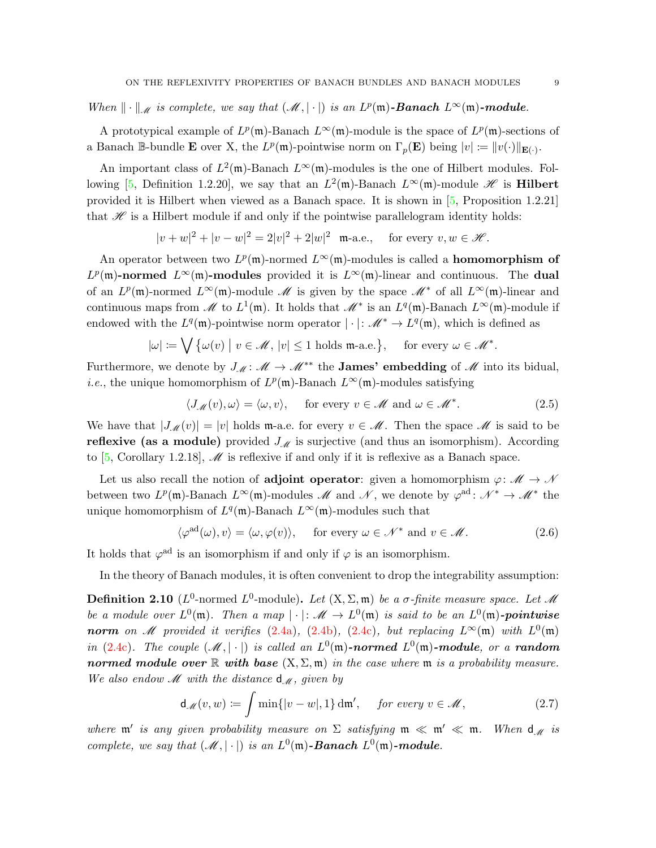When  $\|\cdot\|_{\mathscr{M}}$  is complete, we say that  $(\mathscr{M}, |\cdot|)$  is an  $L^p(\mathfrak{m})$ -**Banach**  $L^{\infty}(\mathfrak{m})$ -module.

A prototypical example of  $L^p(\mathfrak{m})$ -Banach  $L^{\infty}(\mathfrak{m})$ -module is the space of  $L^p(\mathfrak{m})$ -sections of a Banach B-bundle **E** over X, the  $L^p(\mathfrak{m})$ -pointwise norm on  $\Gamma_p(\mathbf{E})$  being  $|v| := ||v(\cdot)||_{\mathbf{E}(\cdot)}$ .

An important class of  $L^2(\mathfrak{m})$ -Banach  $L^{\infty}(\mathfrak{m})$ -modules is the one of Hilbert modules. Fol-lowing [\[5,](#page-23-0) Definition 1.2.20], we say that an  $L^2(\mathfrak{m})$ -Banach  $L^{\infty}(\mathfrak{m})$ -module  $\mathscr{H}$  is **Hilbert** provided it is Hilbert when viewed as a Banach space. It is shown in [\[5,](#page-23-0) Proposition 1.2.21] that  $\mathcal H$  is a Hilbert module if and only if the pointwise parallelogram identity holds:

$$
|v+w|^2 + |v-w|^2 = 2|v|^2 + 2|w|^2 \quad \text{m-a.e.,} \quad \text{ for every } v, w \in \mathcal{H}.
$$

An operator between two  $L^p(\mathfrak{m})$ -normed  $L^{\infty}(\mathfrak{m})$ -modules is called a **homomorphism of**  $L^p(\mathfrak{m})$ -normed  $L^{\infty}(\mathfrak{m})$ -modules provided it is  $L^{\infty}(\mathfrak{m})$ -linear and continuous. The dual of an  $L^p(\mathfrak{m})$ -normed  $L^{\infty}(\mathfrak{m})$ -module  $M$  is given by the space  $M^*$  of all  $L^{\infty}(\mathfrak{m})$ -linear and continuous maps from M to  $L^1(\mathfrak{m})$ . It holds that  $M^*$  is an  $L^q(\mathfrak{m})$ -Banach  $L^{\infty}(\mathfrak{m})$ -module if endowed with the  $L^q(\mathfrak{m})$ -pointwise norm operator  $|\cdot|: \mathcal{M}^* \to L^q(\mathfrak{m})$ , which is defined as

$$
|\omega| := \bigvee \{ \omega(v) \mid v \in \mathcal{M}, \, |v| \le 1 \text{ holds } \mathfrak{m} \text{-a.e.} \}, \quad \text{ for every } \omega \in \mathcal{M}^*.
$$

Furthermore, we denote by  $J_{\mathcal{M}}: \mathcal{M} \to \mathcal{M}^{**}$  the **James' embedding** of  $\mathcal{M}$  into its bidual, *i.e.*, the unique homomorphism of  $L^p(\mathfrak{m})$ -Banach  $L^{\infty}(\mathfrak{m})$ -modules satisfying

<span id="page-8-2"></span>
$$
\langle J_{\mathcal{M}}(v), \omega \rangle = \langle \omega, v \rangle, \quad \text{ for every } v \in \mathcal{M} \text{ and } \omega \in \mathcal{M}^*.
$$
 (2.5)

We have that  $|J_{\mathcal{M}}(v)| = |v|$  holds m-a.e. for every  $v \in \mathcal{M}$ . Then the space  $\mathcal M$  is said to be reflexive (as a module) provided  $J_{\mathscr{M}}$  is surjective (and thus an isomorphism). According to [\[5,](#page-23-0) Corollary 1.2.18],  $\mathcal{M}$  is reflexive if and only if it is reflexive as a Banach space.

Let us also recall the notion of **adjoint operator**: given a homomorphism  $\varphi \colon \mathcal{M} \to \mathcal{N}$ between two  $L^p(\mathfrak{m})$ -Banach  $L^{\infty}(\mathfrak{m})$ -modules M and N, we denote by  $\varphi^{\rm ad}$ :  $\mathcal{N}^* \to \mathcal{M}^*$  the unique homomorphism of  $L^q(\mathfrak{m})$ -Banach  $L^{\infty}(\mathfrak{m})$ -modules such that

<span id="page-8-1"></span>
$$
\langle \varphi^{\text{ad}}(\omega), v \rangle = \langle \omega, \varphi(v) \rangle, \quad \text{ for every } \omega \in \mathcal{N}^* \text{ and } v \in \mathcal{M}.
$$
 (2.6)

It holds that  $\varphi^{\text{ad}}$  is an isomorphism if and only if  $\varphi$  is an isomorphism.

In the theory of Banach modules, it is often convenient to drop the integrability assumption:

**Definition 2.10** ( $L^0$ -normed  $L^0$ -module). Let  $(X, \Sigma, \mathfrak{m})$  be a  $\sigma$ -finite measure space. Let M be a module over  $L^0(\mathfrak{m})$ . Then a map  $|\cdot|: \mathscr{M} \to L^0(\mathfrak{m})$  is said to be an  $L^0(\mathfrak{m})$ -pointwise norm on M provided it verifies [\(2.4a\)](#page-7-3), [\(2.4b\)](#page-7-4), [\(2.4c\)](#page-7-5), but replacing  $L^{\infty}(\mathfrak{m})$  with  $L^{0}(\mathfrak{m})$ in [\(2.4c\)](#page-7-5). The couple  $(\mathcal{M}, |\cdot|)$  is called an  $L^0(\mathfrak{m})$ -normed  $L^0(\mathfrak{m})$ -module, or a random normed module over  $\mathbb R$  with base  $(X, \Sigma, \mathfrak{m})$  in the case where  $\mathfrak{m}$  is a probability measure. We also endow  $\mathcal M$  with the distance  $d_{\mathcal M}$ , given by

<span id="page-8-0"></span>
$$
\mathsf{d}_{\mathscr{M}}(v,w) \coloneqq \int \min\{|v-w|,1\} \, \mathrm{d}\mathfrak{m}', \quad \text{ for every } v \in \mathscr{M}, \tag{2.7}
$$

where  $\mathfrak{m}'$  is any given probability measure on  $\Sigma$  satisfying  $\mathfrak{m} \ll \mathfrak{m}' \ll \mathfrak{m}$ . When  $d_{\mathcal{M}}$  is complete, we say that  $(\mathcal{M}, |\cdot|)$  is an  $L^0(\mathfrak{m})$ -**Banach**  $L^0(\mathfrak{m})$ -module.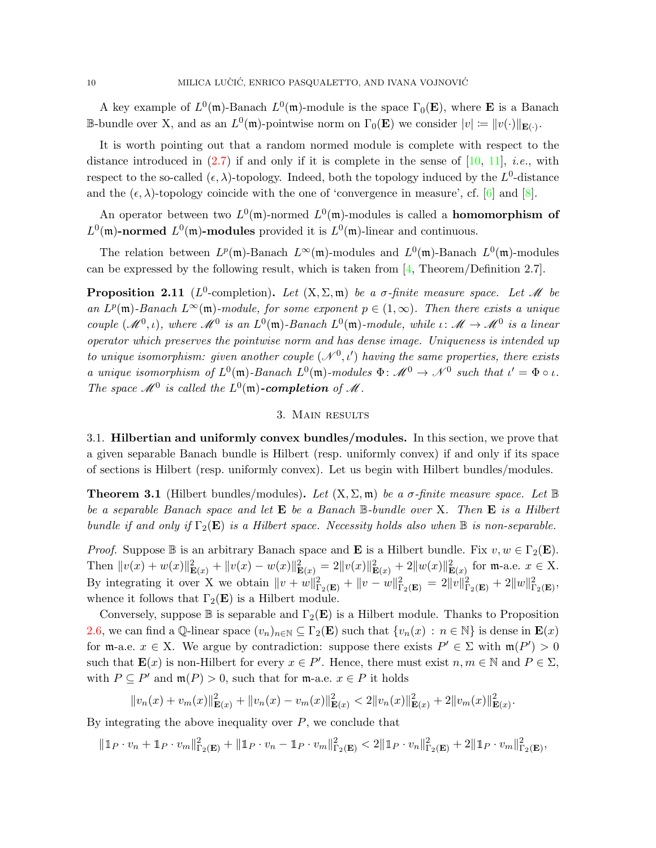A key example of  $L^0(\mathfrak{m})$ -Banach  $L^0(\mathfrak{m})$ -module is the space  $\Gamma_0(\mathbf{E})$ , where **E** is a Banach B-bundle over X, and as an  $L^0(\mathfrak{m})$ -pointwise norm on  $\Gamma_0(\mathbf{E})$  we consider  $|v| := ||v(\cdot)||_{\mathbf{E}(\cdot)}$ .

It is worth pointing out that a random normed module is complete with respect to the distance introduced in  $(2.7)$  if and only if it is complete in the sense of  $[10, 11]$  $[10, 11]$ , *i.e.*, with respect to the so-called  $(\epsilon, \lambda)$ -topology. Indeed, both the topology induced by the  $L^0$ -distance and the  $(\epsilon, \lambda)$ -topology coincide with the one of 'convergence in measure', cf. [\[6\]](#page-23-10) and [\[8\]](#page-23-11).

An operator between two  $L^0(\mathfrak{m})$ -normed  $L^0(\mathfrak{m})$ -modules is called a **homomorphism of**  $L^0(\mathfrak{m})$ -normed  $L^0(\mathfrak{m})$ -modules provided it is  $L^0(\mathfrak{m})$ -linear and continuous.

The relation between  $L^p(\mathfrak{m})$ -Banach  $L^{\infty}(\mathfrak{m})$ -modules and  $L^0(\mathfrak{m})$ -Banach  $L^0(\mathfrak{m})$ -modules can be expressed by the following result, which is taken from [\[4,](#page-23-3) Theorem/Definition 2.7].

**Proposition 2.11** ( $L^0$ -completion). Let  $(X, \Sigma, \mathfrak{m})$  be a  $\sigma$ -finite measure space. Let M be an  $L^p(\mathfrak{m})$ -Banach  $L^{\infty}(\mathfrak{m})$ -module, for some exponent  $p \in (1,\infty)$ . Then there exists a unique couple  $(M^0, \iota)$ , where  $M^0$  is an  $L^0(\mathfrak{m})$ -Banach  $L^0(\mathfrak{m})$ -module, while  $\iota: M \to M^0$  is a linear operator which preserves the pointwise norm and has dense image. Uniqueness is intended up to unique isomorphism: given another couple  $(\mathcal{N}^0, t')$  having the same properties, there exists a unique isomorphism of  $L^0(\mathfrak{m})$ -Banach  $L^0(\mathfrak{m})$ -modules  $\Phi: \mathcal{M}^0 \to \mathcal{N}^0$  such that  $\iota' = \Phi \circ \iota$ . The space  $\mathcal{M}^0$  is called the  $L^0(\mathfrak{m})$ -completion of  $\mathcal M$ .

## 3. Main results

<span id="page-9-1"></span><span id="page-9-0"></span>3.1. Hilbertian and uniformly convex bundles/modules. In this section, we prove that a given separable Banach bundle is Hilbert (resp. uniformly convex) if and only if its space of sections is Hilbert (resp. uniformly convex). Let us begin with Hilbert bundles/modules.

<span id="page-9-2"></span>**Theorem 3.1** (Hilbert bundles/modules). Let  $(X, \Sigma, \mathfrak{m})$  be a  $\sigma$ -finite measure space. Let  $\mathbb{B}$ be a separable Banach space and let  $E$  be a Banach  $\mathbb B$ -bundle over X. Then  $E$  is a Hilbert bundle if and only if  $\Gamma_2(E)$  is a Hilbert space. Necessity holds also when  $\mathbb B$  is non-separable.

*Proof.* Suppose  $\mathbb B$  is an arbitrary Banach space and **E** is a Hilbert bundle. Fix  $v, w \in \Gamma_2(\mathbf{E})$ . Then  $||v(x) + w(x)||_{\mathbf{E}(x)}^2 + ||v(x) - w(x)||_{\mathbf{E}(x)}^2 = 2||v(x)||_{\mathbf{E}(x)}^2 + 2||w(x)||_{\mathbf{E}(x)}^2$  for m-a.e.  $x \in X$ . By integrating it over X we obtain  $||v + w||_{\Gamma_2(\mathbf{E})}^2 + ||v - w||_{\Gamma_2(\mathbf{E})}^2 = 2||v||_{\Gamma_2(\mathbf{E})}^2 + 2||w||_{\Gamma_2(\mathbf{E})}^2$ whence it follows that  $\Gamma_2(E)$  is a Hilbert module.

Conversely, suppose  $\mathbb B$  is separable and  $\Gamma_2(E)$  is a Hilbert module. Thanks to Proposition [2.6,](#page-6-0) we can find a Q-linear space  $(v_n)_{n\in\mathbb{N}}\subseteq\Gamma_2(\mathbf{E})$  such that  $\{v_n(x):n\in\mathbb{N}\}\$ is dense in  $\mathbf{E}(x)$ for  $m$ -a.e.  $x \in X$ . We argue by contradiction: suppose there exists  $P' \in \Sigma$  with  $m(P') > 0$ such that  $\mathbf{E}(x)$  is non-Hilbert for every  $x \in P'$ . Hence, there must exist  $n, m \in \mathbb{N}$  and  $P \in \Sigma$ , with  $P \subseteq P'$  and  $\mathfrak{m}(P) > 0$ , such that for  $\mathfrak{m}$ -a.e.  $x \in P$  it holds

$$
||v_n(x) + v_m(x)||_{\mathbf{E}(x)}^2 + ||v_n(x) - v_m(x)||_{\mathbf{E}(x)}^2 < 2||v_n(x)||_{\mathbf{E}(x)}^2 + 2||v_m(x)||_{\mathbf{E}(x)}^2.
$$

By integrating the above inequality over  $P$ , we conclude that

$$
\|\mathbb{1}_P\cdot v_n+\mathbb{1}_P\cdot v_m\|_{\Gamma_2(\mathbf{E})}^2+\|\mathbb{1}_P\cdot v_n-\mathbb{1}_P\cdot v_m\|_{\Gamma_2(\mathbf{E})}^2<2\|\mathbb{1}_P\cdot v_n\|_{\Gamma_2(\mathbf{E})}^2+2\|\mathbb{1}_P\cdot v_m\|_{\Gamma_2(\mathbf{E})}^2,
$$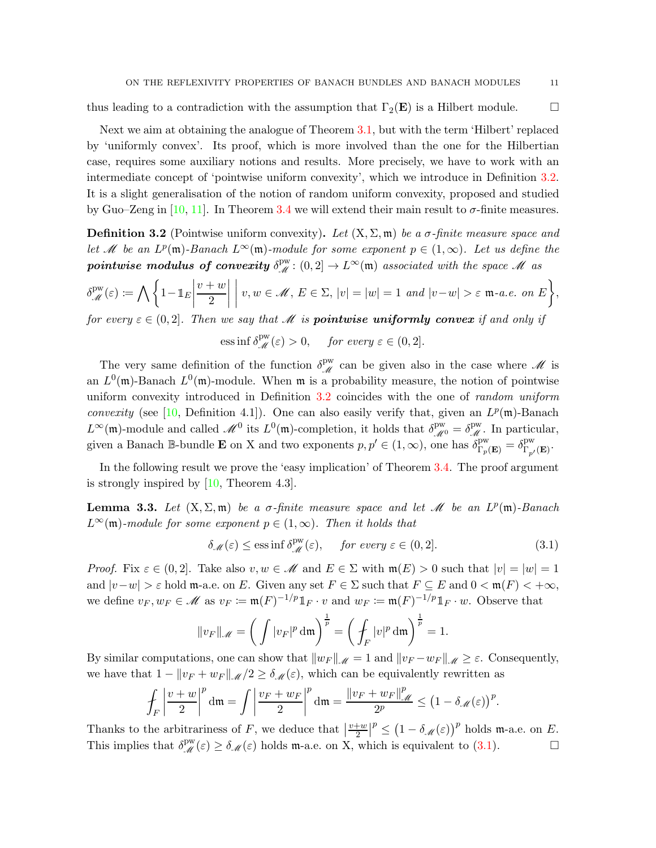thus leading to a contradiction with the assumption that  $\Gamma_2(\mathbf{E})$  is a Hilbert module.

Next we aim at obtaining the analogue of Theorem [3.1,](#page-9-2) but with the term 'Hilbert' replaced by 'uniformly convex'. Its proof, which is more involved than the one for the Hilbertian case, requires some auxiliary notions and results. More precisely, we have to work with an intermediate concept of 'pointwise uniform convexity', which we introduce in Definition [3.2.](#page-10-0) It is a slight generalisation of the notion of random uniform convexity, proposed and studied by Guo–Zeng in [\[10,](#page-23-7) [11\]](#page-23-8). In Theorem [3.4](#page-11-0) we will extend their main result to  $\sigma$ -finite measures.

<span id="page-10-0"></span>**Definition 3.2** (Pointwise uniform convexity). Let  $(X, \Sigma, \mathfrak{m})$  be a  $\sigma$ -finite measure space and let M be an  $L^p(\mathfrak{m})$ -Banach  $L^{\infty}(\mathfrak{m})$ -module for some exponent  $p \in (1,\infty)$ . Let us define the pointwise modulus of convexity  $\delta^{\text{pw}}_{\mathscr{M}}: (0,2] \to L^{\infty}(\mathfrak{m})$  associated with the space M as

$$
\delta_{\mathscr{M}}^{\text{pw}}(\varepsilon) := \bigwedge \left\{ 1 - \mathbb{1}_E \left| \frac{v+w}{2} \right| \middle| v, w \in \mathscr{M}, E \in \Sigma, |v| = |w| = 1 \text{ and } |v-w| > \varepsilon \text{ m-a.e. on } E \right\},\
$$

for every  $\varepsilon \in (0,2]$ . Then we say that M is **pointwise uniformly convex** if and only if

ess inf 
$$
\delta^{\text{pw}}_{\mathscr{M}}(\varepsilon) > 0
$$
, for every  $\varepsilon \in (0, 2]$ .

The very same definition of the function  $\delta_{\mathcal{M}}^{\text{pw}}$  can be given also in the case where  $\mathcal M$  is an  $L^0(\mathfrak{m})$ -Banach  $L^0(\mathfrak{m})$ -module. When  $\mathfrak{m}$  is a probability measure, the notion of pointwise uniform convexity introduced in Definition [3.2](#page-10-0) coincides with the one of *random uniform* convexity (see [\[10,](#page-23-7) Definition 4.1]). One can also easily verify that, given an  $L^p(\mathfrak{m})$ -Banach  $L^{\infty}(\mathfrak{m})$ -module and called  $\mathscr{M}^0$  its  $L^0(\mathfrak{m})$ -completion, it holds that  $\delta^{\text{pw}}_{\mathscr{M}^0} = \delta^{\text{pw}}_{\mathscr{M}}$ . In particular, given a Banach  $\mathbb{B}$ -bundle **E** on X and two exponents  $p, p' \in (1, \infty)$ , one has  $\delta_{\Gamma_p(\mathbf{E})}^{\text{pw}} = \delta_{\Gamma_{p'}(\mathbf{E})}^{\text{pw}}$ .

In the following result we prove the 'easy implication' of Theorem [3.4.](#page-11-0) The proof argument is strongly inspired by  $[10,$  Theorem 4.3].

<span id="page-10-2"></span>**Lemma 3.3.** Let  $(X, \Sigma, \mathfrak{m})$  be a  $\sigma$ -finite measure space and let  $\mathcal{M}$  be an  $L^p(\mathfrak{m})$ -Banach  $L^{\infty}(\mathfrak{m})$ -module for some exponent  $p \in (1,\infty)$ . Then it holds that

<span id="page-10-1"></span>
$$
\delta_{\mathscr{M}}(\varepsilon) \le \text{ess}\inf \delta_{\mathscr{M}}^{\text{pw}}(\varepsilon), \quad \text{ for every } \varepsilon \in (0,2]. \tag{3.1}
$$

*Proof.* Fix  $\varepsilon \in (0, 2]$ . Take also  $v, w \in \mathcal{M}$  and  $E \in \Sigma$  with  $\mathfrak{m}(E) > 0$  such that  $|v| = |w| = 1$ and  $|v-w| > \varepsilon$  hold m-a.e. on E. Given any set  $F \in \Sigma$  such that  $F \subseteq E$  and  $0 < \mathfrak{m}(F) < +\infty$ , we define  $v_F, w_F \in \mathcal{M}$  as  $v_F := \mathfrak{m}(F)^{-1/p} \mathbb{1}_F \cdot v$  and  $w_F := \mathfrak{m}(F)^{-1/p} \mathbb{1}_F \cdot w$ . Observe that

$$
||v_F||_{\mathscr{M}} = \left(\int |v_F|^p \, \mathrm{d}\mathfrak{m}\right)^{\frac{1}{p}} = \left(\int_F |v|^p \, \mathrm{d}\mathfrak{m}\right)^{\frac{1}{p}} = 1.
$$

By similar computations, one can show that  $||w_F||_{\mathscr{M}} = 1$  and  $||v_F - w_F||_{\mathscr{M}} \geq \varepsilon$ . Consequently, we have that  $1 - ||v_F + w_F||_{\mathcal{M}}/2 \ge \delta_{\mathcal{M}}(\varepsilon)$ , which can be equivalently rewritten as

$$
\int_F \left|\frac{v+w}{2}\right|^p \mathrm{d}\mathfrak{m} = \int \left|\frac{v_F+w_F}{2}\right|^p \mathrm{d}\mathfrak{m} = \frac{\left\|v_F+w_F\right\|_{\mathscr{M}}^p}{2^p} \le \left(1-\delta_{\mathscr{M}}(\varepsilon)\right)^p.
$$

Thanks to the arbitrariness of F, we deduce that  $\left[\frac{v+w}{2}\right]^p \leq \left(1-\delta_{\mathscr{M}}(\varepsilon)\right)^p$  holds m-a.e. on E. This implies that  $\delta_{\mathscr{M}}^{\text{pw}}(\varepsilon) \geq \delta_{\mathscr{M}}(\varepsilon)$  holds m-a.e. on X, which is equivalent to [\(3.1\)](#page-10-1).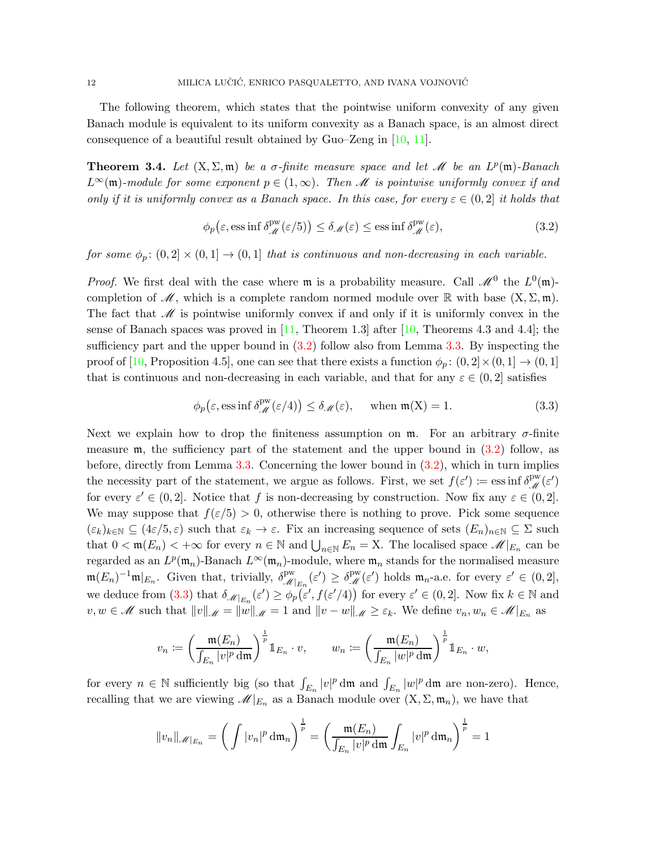The following theorem, which states that the pointwise uniform convexity of any given Banach module is equivalent to its uniform convexity as a Banach space, is an almost direct consequence of a beautiful result obtained by Guo–Zeng in [\[10,](#page-23-7) [11\]](#page-23-8).

<span id="page-11-0"></span>**Theorem 3.4.** Let  $(X, \Sigma, \mathfrak{m})$  be a  $\sigma$ -finite measure space and let  $\mathcal{M}$  be an  $L^p(\mathfrak{m})$ -Banach  $L^{\infty}(\mathfrak{m})$ -module for some exponent  $p \in (1,\infty)$ . Then M is pointwise uniformly convex if and only if it is uniformly convex as a Banach space. In this case, for every  $\varepsilon \in (0,2]$  it holds that

<span id="page-11-1"></span>
$$
\phi_p(\varepsilon, \text{ess inf }\delta^{\text{pw}}_{\mathcal{M}}(\varepsilon/5)) \le \delta_{\mathcal{M}}(\varepsilon) \le \text{ess inf }\delta^{\text{pw}}_{\mathcal{M}}(\varepsilon), \tag{3.2}
$$

for some  $\phi_p$ :  $(0,2] \times (0,1] \rightarrow (0,1]$  that is continuous and non-decreasing in each variable.

*Proof.* We first deal with the case where  $\mathfrak{m}$  is a probability measure. Call  $\mathcal{M}^0$  the  $L^0(\mathfrak{m})$ completion of  $\mathcal{M}$ , which is a complete random normed module over  $\mathbb{R}$  with base  $(X, \Sigma, \mathfrak{m})$ . The fact that  $\mathscr M$  is pointwise uniformly convex if and only if it is uniformly convex in the sense of Banach spaces was proved in  $[11,$  Theorem 1.3] after  $[10,$  Theorems 4.3 and 4.4]; the sufficiency part and the upper bound in [\(3.2\)](#page-11-1) follow also from Lemma [3.3.](#page-10-2) By inspecting the proof of [\[10,](#page-23-7) Proposition 4.5], one can see that there exists a function  $\phi_p$ :  $(0, 2] \times (0, 1] \rightarrow (0, 1]$ that is continuous and non-decreasing in each variable, and that for any  $\varepsilon \in (0, 2]$  satisfies

<span id="page-11-2"></span>
$$
\phi_p(\varepsilon, \text{ess inf }\delta_{\mathcal{M}}^{\text{pw}}(\varepsilon/4)) \le \delta_{\mathcal{M}}(\varepsilon), \quad \text{when } \mathfrak{m}(X) = 1.
$$
 (3.3)

Next we explain how to drop the finiteness assumption on  $\mathfrak{m}$ . For an arbitrary  $\sigma$ -finite measure  $\mathfrak{m}$ , the sufficiency part of the statement and the upper bound in  $(3.2)$  follow, as before, directly from Lemma [3.3.](#page-10-2) Concerning the lower bound in [\(3.2\)](#page-11-1), which in turn implies the necessity part of the statement, we argue as follows. First, we set  $f(\varepsilon') := \operatorname{ess\,inf} \delta^{\mathrm{pw}}_{\mathscr{M}}(\varepsilon')$ for every  $\varepsilon' \in (0, 2]$ . Notice that f is non-decreasing by construction. Now fix any  $\varepsilon \in (0, 2]$ . We may suppose that  $f(\epsilon/5) > 0$ , otherwise there is nothing to prove. Pick some sequence  $(\varepsilon_k)_{k\in\mathbb{N}}\subseteq (4\varepsilon/5,\varepsilon)$  such that  $\varepsilon_k\to\varepsilon$ . Fix an increasing sequence of sets  $(E_n)_{n\in\mathbb{N}}\subseteq \Sigma$  such that  $0 < \mathfrak{m}(E_n) < +\infty$  for every  $n \in \mathbb{N}$  and  $\bigcup_{n \in \mathbb{N}} E_n = X$ . The localised space  $\mathscr{M}|_{E_n}$  can be regarded as an  $L^p(\mathfrak{m}_n)$ -Banach  $L^{\infty}(\mathfrak{m}_n)$ -module, where  $\mathfrak{m}_n$  stands for the normalised measure  $\mathfrak{m}(E_n)^{-1}\mathfrak{m}|_{E_n}$ . Given that, trivially,  $\delta_{\mathscr{M}|_{E_n}}^{\text{pw}}(\varepsilon') \geq \delta_{\mathscr{M}}^{\text{pw}}(\varepsilon')$  holds  $\mathfrak{m}_n$ -a.e. for every  $\varepsilon' \in (0,2],$ we deduce from [\(3.3\)](#page-11-2) that  $\delta_{\mathscr{M}|_{E_n}}(\varepsilon') \geq \phi_p(\varepsilon', f(\varepsilon'/4))$  for every  $\varepsilon' \in (0,2]$ . Now fix  $k \in \mathbb{N}$  and  $v, w \in \mathcal{M}$  such that  $||v||_{\mathcal{M}} = ||w||_{\mathcal{M}} = 1$  and  $||v - w||_{\mathcal{M}} \geq \varepsilon_k$ . We define  $v_n, w_n \in \mathcal{M}|_{E_n}$  as

$$
v_n \coloneqq \left(\frac{\mathfrak{m}(E_n)}{\int_{E_n} |v|^p \, d\mathfrak{m}}\right)^{\frac{1}{p}} \mathbb{1}_{E_n} \cdot v, \qquad w_n \coloneqq \left(\frac{\mathfrak{m}(E_n)}{\int_{E_n} |w|^p \, d\mathfrak{m}}\right)^{\frac{1}{p}} \mathbb{1}_{E_n} \cdot w,
$$

for every  $n \in \mathbb{N}$  sufficiently big (so that  $\int_{E_n} |v|^p \, \mathrm{d}\mathfrak{m}$  and  $\int_{E_n} |w|^p \, \mathrm{d}\mathfrak{m}$  are non-zero). Hence, recalling that we are viewing  $\mathscr{M}|_{E_n}$  as a Banach module over  $(X, \Sigma, \mathfrak{m}_n)$ , we have that

$$
||v_n||_{\mathscr{M}|_{E_n}} = \left(\int |v_n|^p \, \mathrm{d}\mathfrak{m}_n\right)^{\frac{1}{p}} = \left(\frac{\mathfrak{m}(E_n)}{\int_{E_n} |v|^p \, \mathrm{d}\mathfrak{m}} \int_{E_n} |v|^p \, \mathrm{d}\mathfrak{m}_n\right)^{\frac{1}{p}} = 1
$$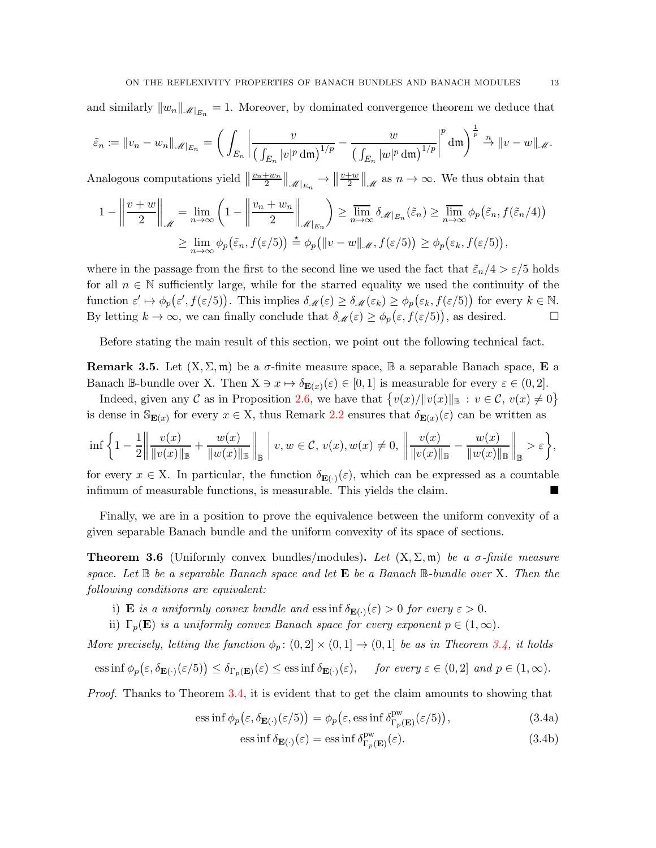and similarly  $||w_n||_{\mathcal{M}|_{E_n}} = 1$ . Moreover, by dominated convergence theorem we deduce that

$$
\tilde{\varepsilon}_n := \|v_n - w_n\|_{\mathscr{M}|_{E_n}} = \bigg(\int_{E_n} \bigg| \frac{v}{\big(\int_{E_n} |v|^p \, \mathrm{d}\mathfrak{m}\big)^{1/p}} - \frac{w}{\big(\int_{E_n} |w|^p \, \mathrm{d}\mathfrak{m}\big)^{1/p}} \bigg|^p \, \mathrm{d}\mathfrak{m}\bigg)^{\frac{1}{p}} \stackrel{n}{\to} \|v - w\|_{\mathscr{M}}.
$$

Analogous computations yield  $\left\|\frac{v_n+w_n}{2}\right\|_{\mathscr{M}|_{E_n}} \to \left\|\frac{v+w}{2}\right\|_{\mathscr{M}}$  as  $n \to \infty$ . We thus obtain that

$$
1 - \left\|\frac{v+w}{2}\right\|_{\mathcal{M}} = \lim_{n \to \infty} \left(1 - \left\|\frac{v_n + w_n}{2}\right\|_{\mathcal{M}|_{E_n}}\right) \ge \overline{\lim}_{n \to \infty} \delta_{\mathcal{M}|_{E_n}}(\tilde{\varepsilon}_n) \ge \overline{\lim}_{n \to \infty} \phi_p(\tilde{\varepsilon}_n, f(\tilde{\varepsilon}_n/4))
$$
  

$$
\ge \lim_{n \to \infty} \phi_p(\tilde{\varepsilon}_n, f(\varepsilon/5)) \stackrel{*}{=} \phi_p(\|v-w\|_{\mathcal{M}}, f(\varepsilon/5)) \ge \phi_p(\varepsilon_k, f(\varepsilon/5)),
$$

where in the passage from the first to the second line we used the fact that  $\tilde{\varepsilon}_n/4 > \varepsilon/5$  holds for all  $n \in \mathbb{N}$  sufficiently large, while for the starred equality we used the continuity of the function  $\varepsilon' \mapsto \phi_p(\varepsilon', f(\varepsilon/5))$ . This implies  $\delta_{\mathscr{M}}(\varepsilon) \geq \delta_{\mathscr{M}}(\varepsilon_k) \geq \phi_p(\varepsilon_k, f(\varepsilon/5))$  for every  $k \in \mathbb{N}$ . By letting  $k \to \infty$ , we can finally conclude that  $\delta_{\mathscr{M}}(\varepsilon) \geq \phi_p(\varepsilon, f(\varepsilon/5))$ , as desired.

Before stating the main result of this section, we point out the following technical fact.

**Remark 3.5.** Let  $(X, \Sigma, \mathfrak{m})$  be a  $\sigma$ -finite measure space,  $\mathbb{B}$  a separable Banach space, **E** a Banach B-bundle over X. Then  $X \ni x \mapsto \delta_{\mathbf{E}(x)}(\varepsilon) \in [0,1]$  is measurable for every  $\varepsilon \in (0,2]$ .

Indeed, given any C as in Proposition [2.6,](#page-6-0) we have that  $\{v(x)/||v(x)||_{\mathbb{B}} : v \in \mathcal{C}, v(x) \neq 0\}$ is dense in  $\mathbb{S}_{\mathbf{E}(x)}$  for every  $x \in X$ , thus Remark [2.2](#page-4-1) ensures that  $\delta_{\mathbf{E}(x)}(\varepsilon)$  can be written as

$$
\inf \left\{ 1 - \frac{1}{2} \left\| \frac{v(x)}{\|v(x)\|_{\mathbb{B}}} + \frac{w(x)}{\|w(x)\|_{\mathbb{B}}} \right\|_{\mathbb{B}} \,\bigg|\, v, w \in \mathcal{C},\, v(x), w(x) \neq 0, \, \left\| \frac{v(x)}{\|v(x)\|_{\mathbb{B}}} - \frac{w(x)}{\|w(x)\|_{\mathbb{B}}} \right\|_{\mathbb{B}} > \varepsilon \right\},\,
$$

for every  $x \in X$ . In particular, the function  $\delta_{\mathbf{E}(\cdot)}(\varepsilon)$ , which can be expressed as a countable infimum of measurable functions, is measurable. This yields the claim.

Finally, we are in a position to prove the equivalence between the uniform convexity of a given separable Banach bundle and the uniform convexity of its space of sections.

<span id="page-12-0"></span>**Theorem 3.6** (Uniformly convex bundles/modules). Let  $(X, \Sigma, \mathfrak{m})$  be a  $\sigma$ -finite measure space. Let  $\mathbb B$  be a separable Banach space and let  $\mathbf E$  be a Banach  $\mathbb B$ -bundle over X. Then the following conditions are equivalent:

- i) **E** is a uniformly convex bundle and  $\text{ess inf }\delta_{\mathbf{E}(\cdot)}(\varepsilon) > 0$  for every  $\varepsilon > 0$ .
- ii)  $\Gamma_p(\mathbf{E})$  is a uniformly convex Banach space for every exponent  $p \in (1,\infty)$ .

More precisely, letting the function  $\phi_p: (0,2] \times (0,1] \rightarrow (0,1]$  be as in Theorem [3.4,](#page-11-0) it holds

$$
\text{ess}\inf \phi_p(\varepsilon,\delta_{\mathbf{E}(\cdot)}(\varepsilon/5)) \leq \delta_{\Gamma_p(\mathbf{E})}(\varepsilon) \leq \text{ess}\inf \delta_{\mathbf{E}(\cdot)}(\varepsilon), \quad \text{ for every } \varepsilon \in (0,2] \text{ and } p \in (1,\infty).
$$

Proof. Thanks to Theorem [3.4,](#page-11-0) it is evident that to get the claim amounts to showing that

$$
\text{ess}\inf \phi_p(\varepsilon, \delta_{\mathbf{E}(\cdot)}(\varepsilon/5)) = \phi_p(\varepsilon, \text{ess}\inf \delta_{\Gamma_p(\mathbf{E})}^{\text{pw}}(\varepsilon/5)),\tag{3.4a}
$$

<span id="page-12-2"></span><span id="page-12-1"></span>
$$
\text{ess}\inf \delta_{\mathbf{E}(\cdot)}(\varepsilon) = \text{ess}\inf \delta_{\Gamma_p(\mathbf{E})}^{\text{pw}}(\varepsilon). \tag{3.4b}
$$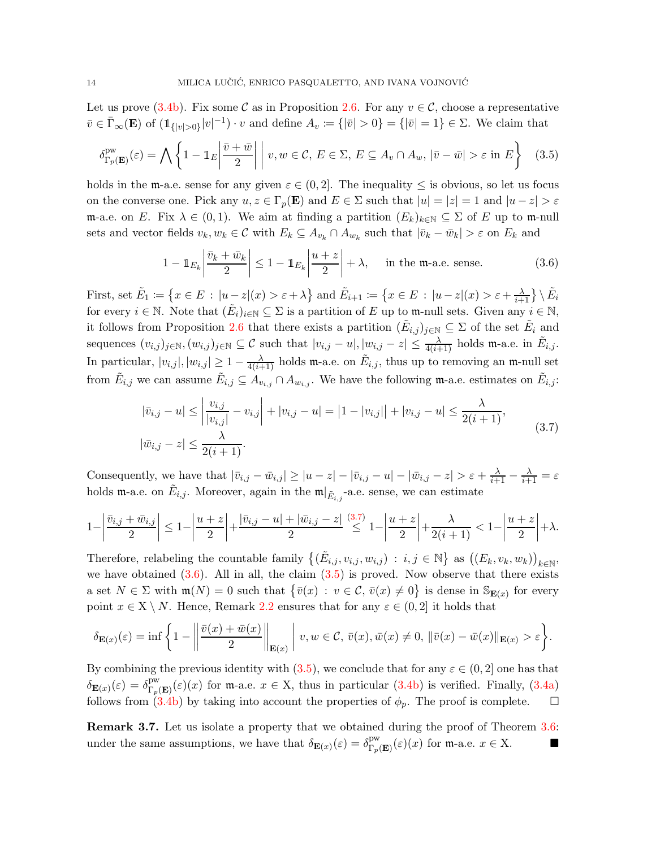Let us prove [\(3.4b\)](#page-12-1). Fix some C as in Proposition [2.6.](#page-6-0) For any  $v \in C$ , choose a representative  $\overline{v} \in \overline{\Gamma}_{\infty}(\mathbf{E})$  of  $(\mathbb{1}_{\{|v|>0\}}|v|^{-1}) \cdot v$  and define  $A_v := \{|\overline{v}| > 0\} = \{|\overline{v}| = 1\} \in \Sigma$ . We claim that

<span id="page-13-2"></span>
$$
\delta_{\Gamma_p(\mathbf{E})}^{\text{pw}}(\varepsilon) = \bigwedge \left\{ 1 - \mathbb{1}_E \left| \frac{\bar{v} + \bar{w}}{2} \right| \middle| v, w \in \mathcal{C}, E \in \Sigma, E \subseteq A_v \cap A_w, |\bar{v} - \bar{w}| > \varepsilon \text{ in } E \right\} \tag{3.5}
$$

holds in the m-a.e. sense for any given  $\varepsilon \in (0, 2]$ . The inequality  $\leq$  is obvious, so let us focus on the converse one. Pick any  $u, z \in \Gamma_p(\mathbf{E})$  and  $E \in \Sigma$  such that  $|u| = |z| = 1$  and  $|u - z| > \varepsilon$ m-a.e. on E. Fix  $\lambda \in (0,1)$ . We aim at finding a partition  $(E_k)_{k \in \mathbb{N}} \subseteq \Sigma$  of E up to m-null sets and vector fields  $v_k, w_k \in \mathcal{C}$  with  $E_k \subseteq A_{v_k} \cap A_{w_k}$  such that  $|\bar{v}_k - \bar{w}_k| > \varepsilon$  on  $E_k$  and

<span id="page-13-1"></span>
$$
1 - \mathbb{1}_{E_k} \left| \frac{\bar{v}_k + \bar{w}_k}{2} \right| \le 1 - \mathbb{1}_{E_k} \left| \frac{u+z}{2} \right| + \lambda, \quad \text{in the m-a.e. sense.} \tag{3.6}
$$

First, set  $\tilde{E}_1 \coloneqq \left\{ x \in E \, : \, |u-z|(x) > \varepsilon + \lambda \right\}$  and  $\tilde{E}_{i+1} \coloneqq \left\{ x \in E \, : \, |u-z|(x) > \varepsilon + \frac{\lambda}{i+1} \right\} \setminus \tilde{E}_i$ for every  $i \in \mathbb{N}$ . Note that  $(\tilde{E}_i)_{i \in \mathbb{N}} \subseteq \Sigma$  is a partition of E up to m-null sets. Given any  $i \in \mathbb{N}$ , it follows from Proposition [2.6](#page-6-0) that there exists a partition  $(\tilde{E}_{i,j})_{j\in\mathbb{N}}\subseteq\Sigma$  of the set  $\tilde{E}_i$  and sequences  $(v_{i,j})_{j\in\mathbb{N}}$ ,  $(w_{i,j})_{j\in\mathbb{N}}\subseteq\mathcal{C}$  such that  $|v_{i,j}-u|, |w_{i,j}-z|\leq \frac{\lambda}{4(i+1)}$  holds m-a.e. in  $\tilde{E}_{i,j}$ . In particular,  $|v_{i,j}|, |w_{i,j}| \geq 1 - \frac{\lambda}{4(i+1)}$  holds m-a.e. on  $\tilde{E}_{i,j}$ , thus up to removing an m-null set from  $\tilde{E}_{i,j}$  we can assume  $\tilde{E}_{i,j} \subseteq A_{v_{i,j}} \cap A_{w_{i,j}}$ . We have the following m-a.e. estimates on  $\tilde{E}_{i,j}$ :

$$
|\bar{v}_{i,j} - u| \le \left| \frac{v_{i,j}}{|v_{i,j}|} - v_{i,j} \right| + |v_{i,j} - u| = |1 - |v_{i,j}|| + |v_{i,j} - u| \le \frac{\lambda}{2(i+1)},
$$
  

$$
|\bar{w}_{i,j} - z| \le \frac{\lambda}{2(i+1)}.
$$
 (3.7)

<span id="page-13-0"></span>Consequently, we have that  $|\bar{v}_{i,j} - \bar{w}_{i,j}| \geq |u-z| - |\bar{v}_{i,j} - u| - |\bar{w}_{i,j} - z| > \varepsilon + \frac{\lambda}{i+1} - \frac{\lambda}{i+1} = \varepsilon$ holds m-a.e. on  $\tilde{E}_{i,j}$ . Moreover, again in the  $\mathfrak{m}|_{\tilde{E}_{i,j}}$ -a.e. sense, we can estimate

$$
1 - \left| \frac{\bar{v}_{i,j} + \bar{w}_{i,j}}{2} \right| \leq 1 - \left| \frac{u+z}{2} \right| + \frac{|\bar{v}_{i,j} - u| + |\bar{w}_{i,j} - z|}{2} \stackrel{(3.7)}{\leq} 1 - \left| \frac{u+z}{2} \right| + \frac{\lambda}{2(i+1)} < 1 - \left| \frac{u+z}{2} \right| + \lambda.
$$

Therefore, relabeling the countable family  $\{(\tilde{E}_{i,j}, v_{i,j}, w_{i,j}) : i,j \in \mathbb{N}\}\$ as  $((E_k, v_k, w_k))_{k \in \mathbb{N}}$ , we have obtained  $(3.6)$ . All in all, the claim  $(3.5)$  is proved. Now observe that there exists a set  $N \in \Sigma$  with  $\mathfrak{m}(N) = 0$  such that  $\{\bar{v}(x) : v \in \mathcal{C}, \bar{v}(x) \neq 0\}$  is dense in  $\mathbb{S}_{\mathbf{E}(x)}$  for every point  $x \in X \setminus N$ . Hence, Remark [2.2](#page-4-1) ensures that for any  $\varepsilon \in (0, 2]$  it holds that

$$
\delta_{\mathbf{E}(x)}(\varepsilon) = \inf \left\{ 1 - \left\| \frac{\bar{v}(x) + \bar{w}(x)}{2} \right\|_{\mathbf{E}(x)} \middle| v, w \in \mathcal{C}, \, \bar{v}(x), \bar{w}(x) \neq 0, \, \|\bar{v}(x) - \bar{w}(x)\|_{\mathbf{E}(x)} > \varepsilon \right\}.
$$

By combining the previous identity with  $(3.5)$ , we conclude that for any  $\varepsilon \in (0, 2]$  one has that  $\delta_{\mathbf{E}(x)}(\varepsilon) = \delta_{\Gamma_p(\mathbf{E})}^{\text{pw}}(\varepsilon)(x)$  for m-a.e.  $x \in \mathbf{X}$ , thus in particular [\(3.4b\)](#page-12-1) is verified. Finally, [\(3.4a\)](#page-12-2) follows from [\(3.4b\)](#page-12-1) by taking into account the properties of  $\phi_p$ . The proof is complete.  $\Box$ 

**Remark 3.7.** Let us isolate a property that we obtained during the proof of Theorem [3.6:](#page-12-0) under the same assumptions, we have that  $\delta_{\mathbf{E}(x)}(\varepsilon) = \delta_{\Gamma_p(\mathbf{E})}^{\text{pw}}(\varepsilon)(x)$  for m-a.e.  $x \in X$ .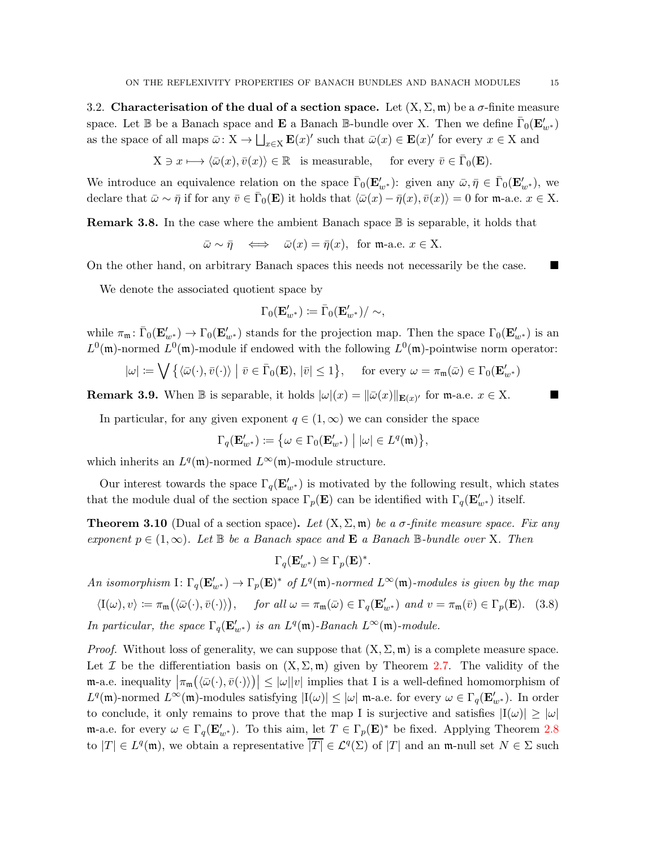<span id="page-14-0"></span>3.2. Characterisation of the dual of a section space. Let  $(X, \Sigma, \mathfrak{m})$  be a  $\sigma$ -finite measure space. Let  $\mathbb B$  be a Banach space and  $\bf E$  a Banach  $\mathbb B$ -bundle over X. Then we define  $\bar{\Gamma}_0(\mathbf E'_{w^*})$ as the space of all maps  $\bar{\omega}$ :  $X \to \bigsqcup_{x \in X} \mathbf{E}(x)'$  such that  $\bar{\omega}(x) \in \mathbf{E}(x)'$  for every  $x \in X$  and

 $X \ni x \longmapsto \langle \bar{\omega}(x), \bar{v}(x) \rangle \in \mathbb{R}$  is measurable, for every  $\bar{v} \in \bar{\Gamma}_0(\mathbf{E})$ .

We introduce an equivalence relation on the space  $\bar{\Gamma}_0(\mathbf{E}'_{w^*})$ : given any  $\bar{\omega}, \bar{\eta} \in \bar{\Gamma}_0(\mathbf{E}'_{w^*})$ , we declare that  $\bar{\omega} \sim \bar{\eta}$  if for any  $\bar{v} \in \bar{\Gamma}_0(\mathbf{E})$  it holds that  $\langle \bar{\omega}(x) - \bar{\eta}(x), \bar{v}(x) \rangle = 0$  for m-a.e.  $x \in \mathcal{X}$ .

**Remark 3.8.** In the case where the ambient Banach space  $\mathbb B$  is separable, it holds that

 $\bar{\omega} \sim \bar{\eta} \iff \bar{\omega}(x) = \bar{\eta}(x)$ , for m-a.e.  $x \in X$ .

On the other hand, on arbitrary Banach spaces this needs not necessarily be the case.

We denote the associated quotient space by

$$
\Gamma_0(\mathbf{E}'_{w^*})\coloneqq\bar{\Gamma}_0(\mathbf{E}'_{w^*})/\sim,
$$

while  $\pi_{\mathfrak{m}} \colon \overline{\Gamma}_0(\mathbf{E}'_{w^*}) \to \Gamma_0(\mathbf{E}'_{w^*})$  stands for the projection map. Then the space  $\Gamma_0(\mathbf{E}'_{w^*})$  is an  $L^0(\mathfrak{m})$ -normed  $L^0(\mathfrak{m})$ -module if endowed with the following  $L^0(\mathfrak{m})$ -pointwise norm operator:

$$
|\omega| := \bigvee \{ \langle \bar{\omega}(\cdot), \bar{v}(\cdot) \rangle \mid \bar{v} \in \bar{\Gamma}_0(\mathbf{E}), |\bar{v}| \le 1 \}, \quad \text{ for every } \omega = \pi_{\mathfrak{m}}(\bar{\omega}) \in \Gamma_0(\mathbf{E}'_{w^*})
$$

<span id="page-14-2"></span>**Remark 3.9.** When  $\mathbb B$  is separable, it holds  $|\omega|(x) = ||\bar{\omega}(x)||_{\mathbf{E}(x)}$  for  $\mathfrak{m}$ -a.e.  $x \in X$ .

In particular, for any given exponent  $q \in (1,\infty)$  we can consider the space

$$
\Gamma_q(\mathbf{E}'_{w^*}) \coloneqq \big\{ \omega \in \Gamma_0(\mathbf{E}'_{w^*}) \mid |\omega| \in L^q(\mathfrak{m}) \big\},\
$$

which inherits an  $L^q(\mathfrak{m})$ -normed  $L^{\infty}(\mathfrak{m})$ -module structure.

Our interest towards the space  $\Gamma_q(\mathbf{E}'_{w^*})$  is motivated by the following result, which states that the module dual of the section space  $\Gamma_p(\mathbf{E})$  can be identified with  $\Gamma_q(\mathbf{E}'_{w^*})$  itself.

<span id="page-14-1"></span>**Theorem 3.10** (Dual of a section space). Let  $(X, \Sigma, \mathfrak{m})$  be a  $\sigma$ -finite measure space. Fix any exponent  $p \in (1,\infty)$ . Let  $\mathbb B$  be a Banach space and **E** a Banach  $\mathbb B$ -bundle over X. Then

$$
\Gamma_q(\mathbf{E}_{w^*}') \cong \Gamma_p(\mathbf{E})^*.
$$

An isomorphism  $I: \Gamma_q(\mathbf{E}'_{w^*}) \to \Gamma_p(\mathbf{E})^*$  of  $L^q(\mathfrak{m})$ -normed  $L^{\infty}(\mathfrak{m})$ -modules is given by the map

<span id="page-14-3"></span>
$$
\langle I(\omega), v \rangle := \pi_{\mathfrak{m}}(\langle \bar{\omega}(\cdot), \bar{v}(\cdot) \rangle), \quad \text{ for all } \omega = \pi_{\mathfrak{m}}(\bar{\omega}) \in \Gamma_q(\mathbf{E}'_{w^*}) \text{ and } v = \pi_{\mathfrak{m}}(\bar{v}) \in \Gamma_p(\mathbf{E}). \tag{3.8}
$$

In particular, the space  $\Gamma_q(\mathbf{E}'_{w^*})$  is an  $L^q(\mathfrak{m})$ -Banach  $L^{\infty}(\mathfrak{m})$ -module.

*Proof.* Without loss of generality, we can suppose that  $(X, \Sigma, \mathfrak{m})$  is a complete measure space. Let I be the differentiation basis on  $(X, \Sigma, \mathfrak{m})$  given by Theorem [2.7.](#page-7-6) The validity of the  $\mathfrak{m}$ -a.e. inequality  $|\pi_{\mathfrak{m}}(\langle \bar{\omega}(\cdot),\bar{v}(\cdot)\rangle)| \leq |\omega||v|$  implies that I is a well-defined homomorphism of  $L^q(\mathfrak{m})$ -normed  $L^{\infty}(\mathfrak{m})$ -modules satisfying  $|I(\omega)| \leq |\omega|$  m-a.e. for every  $\omega \in \Gamma_q(\mathbf{E}'_{w^*})$ . In order to conclude, it only remains to prove that the map I is surjective and satisfies  $|I(\omega)| \geq |\omega|$ m-a.e. for every  $\omega \in \Gamma_q(\mathbf{E}_{w^*}')$ . To this aim, let  $T \in \Gamma_p(\mathbf{E})^*$  be fixed. Applying Theorem [2.8](#page-7-7) to  $|T| \in L^q(\mathfrak{m})$ , we obtain a representative  $\overline{|T|} \in L^q(\Sigma)$  of  $|T|$  and an m-null set  $N \in \Sigma$  such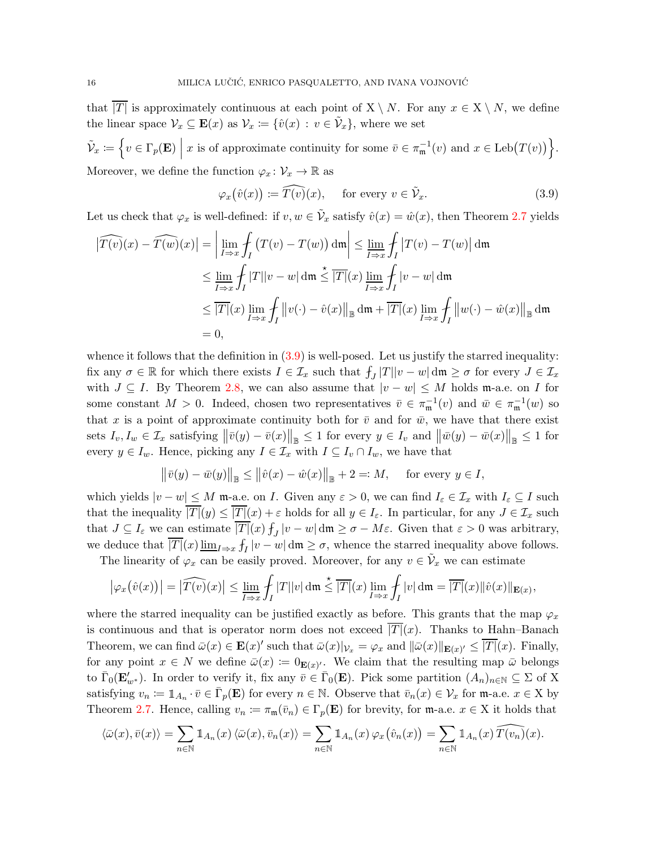that  $\overline{|T|}$  is approximately continuous at each point of  $X \setminus N$ . For any  $x \in X \setminus N$ , we define the linear space  $\mathcal{V}_x \subseteq \mathbf{E}(x)$  as  $\mathcal{V}_x := \{ \hat{v}(x) : v \in \tilde{\mathcal{V}}_x \}$ , where we set

 $\tilde{\mathcal{V}}_x \coloneqq \left\{ v \in \Gamma_p(\mathbf{E}) \; \Big| \right\}$ x is of approximate continuity for some  $\overline{v} \in \pi_{\mathfrak{m}}^{-1}(v)$  and  $x \in \text{Leb}(T(v))$ . Moreover, we define the function  $\varphi_x \colon \mathcal{V}_x \to \mathbb{R}$  as

<span id="page-15-0"></span>
$$
\varphi_x(\hat{v}(x)) \coloneqq \widehat{T(v)}(x), \quad \text{ for every } v \in \widetilde{\mathcal{V}}_x. \tag{3.9}
$$

Let us check that  $\varphi_x$  is well-defined: if  $v, w \in \tilde{\mathcal{V}}_x$  satisfy  $\hat{v}(x) = \hat{w}(x)$ , then Theorem [2.7](#page-7-6) yields

$$
\begin{aligned}\n\left|\widehat{T(v)}(x) - \widehat{T(w)}(x)\right| &= \left|\lim_{I \to x} \int_I \left(T(v) - T(w)\right) \, \mathrm{d}\mathfrak{m}\right| \le \lim_{I \to x} \int_I \left|T(v) - T(w)\right| \, \mathrm{d}\mathfrak{m} \\
&\le \lim_{I \to x} \int_I |T||v - w| \, \mathrm{d}\mathfrak{m} \le \overline{|T|}(x) \lim_{I \to x} \int_I |v - w| \, \mathrm{d}\mathfrak{m} \\
&\le \overline{|T|}(x) \lim_{I \to x} \int_I \left\|v(\cdot) - \hat{v}(x)\right\|_{\mathbb{B}} \, \mathrm{d}\mathfrak{m} + \overline{|T|}(x) \lim_{I \to x} \int_I \left\|w(\cdot) - \hat{w}(x)\right\|_{\mathbb{B}} \, \mathrm{d}\mathfrak{m} \\
&= 0,\n\end{aligned}
$$

whence it follows that the definition in  $(3.9)$  is well-posed. Let us justify the starred inequality: fix any  $\sigma \in \mathbb{R}$  for which there exists  $I \in \mathcal{I}_x$  such that  $f_J |T||v-w| \, \text{d}\mathfrak{m} \geq \sigma$  for every  $J \in \mathcal{I}_x$ with  $J \subseteq I$ . By Theorem [2.8,](#page-7-7) we can also assume that  $|v - w| \leq M$  holds m-a.e. on I for some constant  $M > 0$ . Indeed, chosen two representatives  $\bar{v} \in \pi_{\mathfrak{m}}^{-1}(v)$  and  $\bar{w} \in \pi_{\mathfrak{m}}^{-1}(w)$  so that x is a point of approximate continuity both for  $\bar{v}$  and for  $\bar{w}$ , we have that there exist sets  $I_v, I_w \in \mathcal{I}_x$  satisfying  $\|\bar{v}(y) - \bar{v}(x)\|_{\mathbb{B}} \le 1$  for every  $y \in I_v$  and  $\|\bar{w}(y) - \bar{w}(x)\|_{\mathbb{B}} \le 1$  for every  $y \in I_w$ . Hence, picking any  $I \in \mathcal{I}_x$  with  $I \subseteq I_v \cap I_w$ , we have that

$$
\|\bar{v}(y) - \bar{w}(y)\|_{\mathbb{B}} \le \|\hat{v}(x) - \hat{w}(x)\|_{\mathbb{B}} + 2 =: M, \quad \text{ for every } y \in I,
$$

which yields  $|v - w| \leq M$  m-a.e. on I. Given any  $\varepsilon > 0$ , we can find  $I_{\varepsilon} \in \mathcal{I}_x$  with  $I_{\varepsilon} \subseteq I$  such that the inequality  $\overline{|T|}(y) \leq \overline{|T|}(x) + \varepsilon$  holds for all  $y \in I_{\varepsilon}$ . In particular, for any  $J \in \mathcal{I}_x$  such that  $J \subseteq I_{\varepsilon}$  we can estimate  $\overline{|T|}(x) f_J |v - w| \, \text{d}\mathfrak{m} \ge \sigma - M\varepsilon$ . Given that  $\varepsilon > 0$  was arbitrary, we deduce that  $\overline{|T|}(x) \underline{\lim}_{I \to x} f_I |v - w| \, \text{d}\mathfrak{m} \ge \sigma$ , whence the starred inequality above follows.

The linearity of  $\varphi_x$  can be easily proved. Moreover, for any  $v \in V_x$  we can estimate

$$
\left|\varphi_x(\hat{v}(x))\right| = \left|\widehat{T(v)}(x)\right| \le \lim_{I \to x} \int_I |T||v| \, \mathrm{d}\mathfrak{m} \le \overline{|T|}(x) \lim_{I \to x} \int_I |v| \, \mathrm{d}\mathfrak{m} = \overline{|T|}(x) \|\hat{v}(x)\|_{\mathbf{E}(x)},
$$

where the starred inequality can be justified exactly as before. This grants that the map  $\varphi_x$ is continuous and that is operator norm does not exceed  $\overline{|T|}(x)$ . Thanks to Hahn–Banach Theorem, we can find  $\bar{\omega}(x) \in \mathbf{E}(x)'$  such that  $\bar{\omega}(x)|_{\mathcal{V}_x} = \varphi_x$  and  $\|\bar{\omega}(x)\|_{\mathbf{E}(x)'} \leq \overline{|T|}(x)$ . Finally, for any point  $x \in N$  we define  $\bar{\omega}(x) := 0_{\mathbf{E}(x)'}$ . We claim that the resulting map  $\bar{\omega}$  belongs to  $\bar{\Gamma}_0(\mathbf{E}_{w^*}')$ . In order to verify it, fix any  $\bar{v} \in \bar{\Gamma}_0(\mathbf{E})$ . Pick some partition  $(A_n)_{n\in\mathbb{N}} \subseteq \Sigma$  of X satisfying  $v_n := \mathbb{1}_{A_n} \cdot \overline{v} \in \overline{\Gamma}_p(\mathbf{E})$  for every  $n \in \mathbb{N}$ . Observe that  $\overline{v}_n(x) \in \mathcal{V}_x$  for  $\mathfrak{m}$ -a.e.  $x \in X$  by Theorem [2.7.](#page-7-6) Hence, calling  $v_n := \pi_m(\bar{v}_n) \in \Gamma_p(\mathbf{E})$  for brevity, for m-a.e.  $x \in X$  it holds that

$$
\langle \bar{\omega}(x),\bar{v}(x)\rangle = \sum_{n\in\mathbb{N}} \mathbb{1}_{A_n}(x) \langle \bar{\omega}(x),\bar{v}_n(x)\rangle = \sum_{n\in\mathbb{N}} \mathbb{1}_{A_n}(x) \varphi_x(\hat{v}_n(x)) = \sum_{n\in\mathbb{N}} \mathbb{1}_{A_n}(x) \widehat{T(v_n)}(x).
$$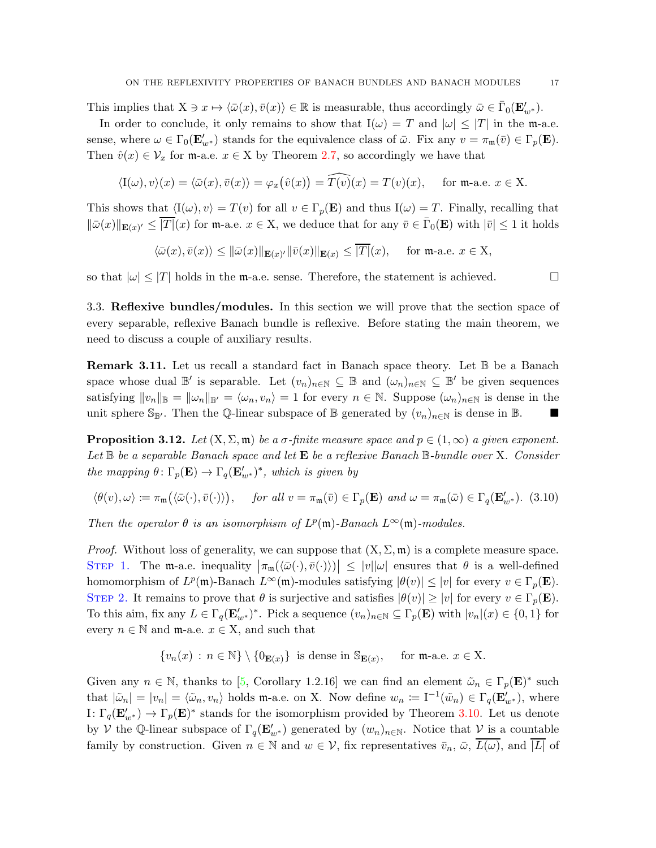This implies that  $X \ni x \mapsto \langle \bar{\omega}(x), \bar{v}(x) \rangle \in \mathbb{R}$  is measurable, thus accordingly  $\bar{\omega} \in \bar{\Gamma}_0(\mathbf{E}'_{w^*})$ .

In order to conclude, it only remains to show that  $I(\omega) = T$  and  $|\omega| \leq |T|$  in the m-a.e. sense, where  $\omega \in \Gamma_0(\mathbf{E}'_{w^*})$  stands for the equivalence class of  $\bar{\omega}$ . Fix any  $v = \pi_{\mathfrak{m}}(\bar{v}) \in \Gamma_p(\mathbf{E})$ . Then  $\hat{v}(x) \in \mathcal{V}_x$  for m-a.e.  $x \in X$  by Theorem [2.7,](#page-7-6) so accordingly we have that

$$
\langle I(\omega), v \rangle(x) = \langle \bar{\omega}(x), \bar{v}(x) \rangle = \varphi_x(\hat{v}(x)) = \widehat{T(v)}(x) = T(v)(x), \quad \text{for } \mathfrak{m}\text{-a.e. } x \in X.
$$

This shows that  $\langle I(\omega), v \rangle = T(v)$  for all  $v \in \Gamma_p(\mathbf{E})$  and thus  $I(\omega) = T$ . Finally, recalling that  $\|\bar{\omega}(x)\|_{\mathbf{E}(x)'} \leq \overline{|T|}(x)$  for m-a.e.  $x \in X$ , we deduce that for any  $\bar{v} \in \bar{\Gamma}_0(\mathbf{E})$  with  $|\bar{v}| \leq 1$  it holds

$$
\langle \bar{\omega}(x), \bar{v}(x) \rangle \le ||\bar{\omega}(x)||_{\mathbf{E}(x)} / \|\bar{v}(x)\|_{\mathbf{E}(x)} \le \overline{|T|}(x), \quad \text{ for $\mathfrak{m}$-a.e. } x \in \mathcal{X},
$$

<span id="page-16-0"></span>so that  $|\omega| \leq |T|$  holds in the m-a.e. sense. Therefore, the statement is achieved.

3.3. Reflexive bundles/modules. In this section we will prove that the section space of every separable, reflexive Banach bundle is reflexive. Before stating the main theorem, we need to discuss a couple of auxiliary results.

<span id="page-16-1"></span>Remark 3.11. Let us recall a standard fact in Banach space theory. Let  $\mathbb B$  be a Banach space whose dual  $\mathbb{B}'$  is separable. Let  $(v_n)_{n\in\mathbb{N}}\subseteq\mathbb{B}$  and  $(\omega_n)_{n\in\mathbb{N}}\subseteq\mathbb{B}'$  be given sequences satisfying  $||v_n||_{\mathbb{B}} = ||\omega_n||_{\mathbb{B}'} = \langle \omega_n, v_n \rangle = 1$  for every  $n \in \mathbb{N}$ . Suppose  $(\omega_n)_{n \in \mathbb{N}}$  is dense in the unit sphere  $\mathbb{S}_{\mathbb{B}'}$ . Then the Q-linear subspace of B generated by  $(v_n)_{n\in\mathbb{N}}$  is dense in B.

<span id="page-16-2"></span>**Proposition 3.12.** Let  $(X, \Sigma, \mathfrak{m})$  be a  $\sigma$ -finite measure space and  $p \in (1,\infty)$  a given exponent. Let  $\mathbb B$  be a separable Banach space and let  $\mathbf E$  be a reflexive Banach  $\mathbb B$ -bundle over X. Consider the mapping  $\theta \colon \Gamma_p(\mathbf{E}) \to \Gamma_q(\mathbf{E}'_{w^*})^*$ , which is given by

<span id="page-16-3"></span>
$$
\langle \theta(v), \omega \rangle \coloneqq \pi_{\mathfrak{m}}\big(\langle \bar{\omega}(\cdot), \bar{v}(\cdot) \rangle\big), \quad \text{ for all } v = \pi_{\mathfrak{m}}(\bar{v}) \in \Gamma_p(\mathbf{E}) \text{ and } \omega = \pi_{\mathfrak{m}}(\bar{\omega}) \in \Gamma_q(\mathbf{E}'_{w^*}). \tag{3.10}
$$

Then the operator  $\theta$  is an isomorphism of  $L^p(\mathfrak{m})$ -Banach  $L^{\infty}(\mathfrak{m})$ -modules.

*Proof.* Without loss of generality, we can suppose that  $(X, \Sigma, \mathfrak{m})$  is a complete measure space. STEP 1. The m-a.e. inequality  $|\pi_m(\langle \bar{\omega}(\cdot), \bar{v}(\cdot) \rangle)| \leq |v||\omega|$  ensures that  $\theta$  is a well-defined homomorphism of  $L^p(\mathfrak{m})$ -Banach  $L^{\infty}(\mathfrak{m})$ -modules satisfying  $|\theta(v)| \leq |v|$  for every  $v \in \Gamma_p(\mathbf{E})$ . STEP 2. It remains to prove that  $\theta$  is surjective and satisfies  $|\theta(v)| \ge |v|$  for every  $v \in \Gamma_p(\mathbf{E})$ . To this aim, fix any  $L \in \Gamma_q(\mathbf{E}_{w^*}')^*$ . Pick a sequence  $(v_n)_{n \in \mathbb{N}} \subseteq \Gamma_p(\mathbf{E})$  with  $|v_n|(x) \in \{0,1\}$  for every  $n \in \mathbb{N}$  and  $m$ -a.e.  $x \in X$ , and such that

$$
\{v_n(x) : n \in \mathbb{N}\} \setminus \{0_{\mathbf{E}(x)}\} \text{ is dense in } \mathbb{S}_{\mathbf{E}(x)}, \text{ for } \mathfrak{m}\text{-a.e. } x \in \mathcal{X}.
$$

Given any  $n \in \mathbb{N}$ , thanks to [\[5,](#page-23-0) Corollary 1.2.16] we can find an element  $\tilde{\omega}_n \in \Gamma_p(\mathbf{E})^*$  such that  $|\tilde{\omega}_n| = |v_n| = \langle \tilde{\omega}_n, v_n \rangle$  holds m-a.e. on X. Now define  $w_n := \mathrm{I}^{-1}(\tilde{w}_n) \in \Gamma_q(\mathbf{E}'_{w^*})$ , where I:  $\Gamma_q(\mathbf{E}'_{w^*}) \to \Gamma_p(\mathbf{E})^*$  stands for the isomorphism provided by Theorem [3.10.](#page-14-1) Let us denote by V the Q-linear subspace of  $\Gamma_q(\mathbf{E}'_{w^*})$  generated by  $(w_n)_{n\in\mathbb{N}}$ . Notice that V is a countable family by construction. Given  $n \in \mathbb{N}$  and  $w \in \mathcal{V}$ , fix representatives  $\bar{v}_n$ ,  $\bar{\omega}$ ,  $\overline{L(\omega)}$ , and  $\overline{|L|}$  of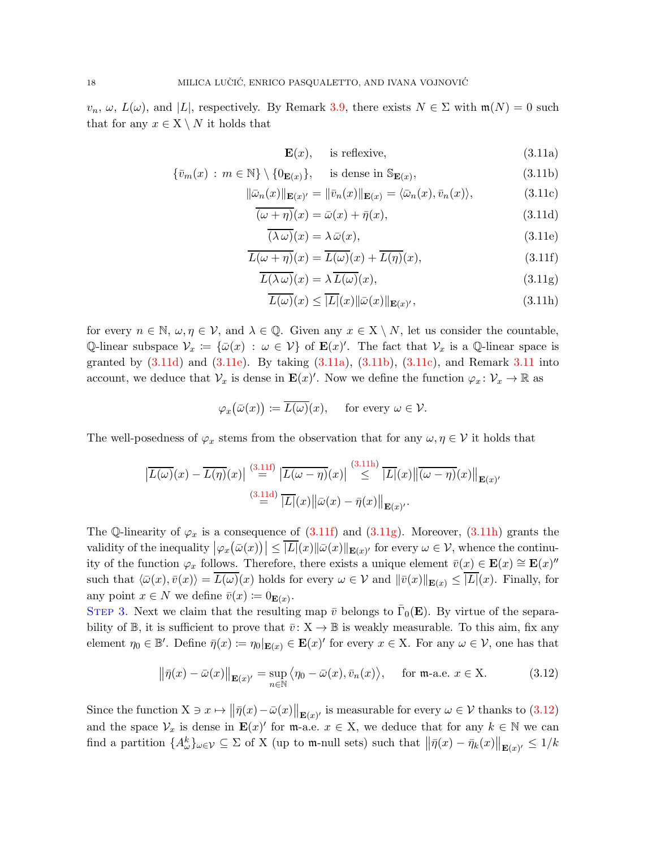$v_n, \omega, L(\omega)$ , and  $|L|$ , respectively. By Remark [3.9,](#page-14-2) there exists  $N \in \Sigma$  with  $\mathfrak{m}(N) = 0$  such that for any  $x \in X \setminus N$  it holds that

<span id="page-17-4"></span><span id="page-17-3"></span><span id="page-17-2"></span><span id="page-17-0"></span>
$$
\mathbf{E}(x), \quad \text{is reflexive}, \tag{3.11a}
$$

$$
\{\bar{v}_m(x) : m \in \mathbb{N}\} \setminus \{0_{\mathbf{E}(x)}\}, \quad \text{is dense in } \mathbb{S}_{\mathbf{E}(x)},\tag{3.11b}
$$

$$
\|\bar{\omega}_n(x)\|_{\mathbf{E}(x)'} = \|\bar{v}_n(x)\|_{\mathbf{E}(x)} = \langle \bar{\omega}_n(x), \bar{v}_n(x) \rangle, \tag{3.11c}
$$

$$
\overline{(\omega + \eta)}(x) = \bar{\omega}(x) + \bar{\eta}(x),\tag{3.11d}
$$

<span id="page-17-7"></span><span id="page-17-5"></span><span id="page-17-1"></span>
$$
\overline{(\lambda \omega)}(x) = \lambda \,\overline{\omega}(x),\tag{3.11e}
$$

$$
\overline{L(\omega + \eta)}(x) = \overline{L(\omega)}(x) + \overline{L(\eta)}(x),
$$
\n(3.11f)

$$
\overline{L(\lambda \omega)}(x) = \lambda \overline{L(\omega)}(x),\tag{3.11g}
$$

<span id="page-17-6"></span>
$$
\overline{L(\omega)}(x) \le \overline{|L|}(x) \|\bar{\omega}(x)\|_{\mathbf{E}(x)'} ,\tag{3.11h}
$$

for every  $n \in \mathbb{N}, \omega, \eta \in \mathcal{V}$ , and  $\lambda \in \mathbb{Q}$ . Given any  $x \in \mathbb{X} \setminus N$ , let us consider the countable, Q-linear subspace  $\mathcal{V}_x := \{\bar{\omega}(x) : \omega \in \mathcal{V}\}\$  of  $\mathbf{E}(x)'$ . The fact that  $\mathcal{V}_x$  is a Q-linear space is granted by  $(3.11d)$  $(3.11d)$  $(3.11d)$  and  $(3.11e)$ . By taking  $(3.11a)$ ,  $(3.11b)$ ,  $(3.11c)$ , and Remark  $3.11$  into account, we deduce that  $\mathcal{V}_x$  is dense in  $\mathbf{E}(x)'$ . Now we define the function  $\varphi_x \colon \mathcal{V}_x \to \mathbb{R}$  as

$$
\varphi_x(\bar{\omega}(x)) \coloneqq \overline{L(\omega)}(x), \quad \text{ for every } \omega \in \mathcal{V}.
$$

The well-posedness of  $\varphi_x$  stems from the observation that for any  $\omega, \eta \in \mathcal{V}$  it holds that

$$
\left| \overline{L(\omega)}(x) - \overline{L(\eta)}(x) \right| \stackrel{(3.11f)}{=} \left| \overline{L(\omega - \eta)}(x) \right| \stackrel{(3.11h)}{\leq} \left| \overline{L|}(x) \right| \left| \overline{(\omega - \eta)}(x) \right|_{\mathbf{E}(x)'} \n\stackrel{(3.11d)}{=} \left| \overline{L|}(x) \right| \left| \overline{\omega}(x) - \overline{\eta}(x) \right|_{\mathbf{E}(x)'}.
$$

The Q-linearity of  $\varphi_x$  is a consequence of [\(3.11f\)](#page-17-5) and [\(3.11g\)](#page-17-7). Moreover, [\(3.11h\)](#page-17-6) grants the validity of the inequality  $|\varphi_x(\bar{\omega}(x))| \leq |L|(x) ||\bar{\omega}(x)||_{\mathbf{E}(x)}$  for every  $\omega \in \mathcal{V}$ , whence the continuity of the function  $\varphi_x$  follows. Therefore, there exists a unique element  $\bar{v}(x) \in \mathbf{E}(x) \cong \mathbf{E}(x)''$ such that  $\langle \bar{\omega}(x), \bar{v}(x)\rangle = L(\omega)(x)$  holds for every  $\omega \in V$  and  $\|\bar{v}(x)\|_{\mathbf{E}(x)} \leq |L|(x)$ . Finally, for any point  $x \in N$  we define  $\overline{v}(x) := 0_{\mathbf{E}(x)}$ .

STEP 3. Next we claim that the resulting map  $\bar{v}$  belongs to  $\bar{\Gamma}_0(\mathbf{E})$ . By virtue of the separability of B, it is sufficient to prove that  $\bar{v}: X \to \mathbb{B}$  is weakly measurable. To this aim, fix any element  $\eta_0 \in \mathbb{B}'$ . Define  $\bar{\eta}(x) := \eta_0|_{\mathbf{E}(x)} \in \mathbf{E}(x)'$  for every  $x \in \mathbf{X}$ . For any  $\omega \in \mathcal{V}$ , one has that

<span id="page-17-8"></span>
$$
\left\| \bar{\eta}(x) - \bar{\omega}(x) \right\|_{\mathbf{E}(x)'} = \sup_{n \in \mathbb{N}} \left\langle \eta_0 - \bar{\omega}(x), \bar{v}_n(x) \right\rangle, \quad \text{for } \mathfrak{m} \text{-a.e. } x \in \mathbf{X}. \tag{3.12}
$$

Since the function  $X \ni x \mapsto ||\bar{\eta}(x) - \bar{\omega}(x)||_{\mathbf{E}(x)}$  is measurable for every  $\omega \in \mathcal{V}$  thanks to [\(3.12\)](#page-17-8) and the space  $\mathcal{V}_x$  is dense in  $\mathbf{E}(x)'$  for m-a.e.  $x \in \mathcal{X}$ , we deduce that for any  $k \in \mathbb{N}$  we can find a partition  $\{A^k_\omega\}_{\omega \in \mathcal{V}} \subseteq \Sigma$  of X (up to m-null sets) such that  $\left\|\bar{\eta}(x) - \bar{\eta}_k(x)\right\|_{\mathbf{E}(x)'} \leq 1/k$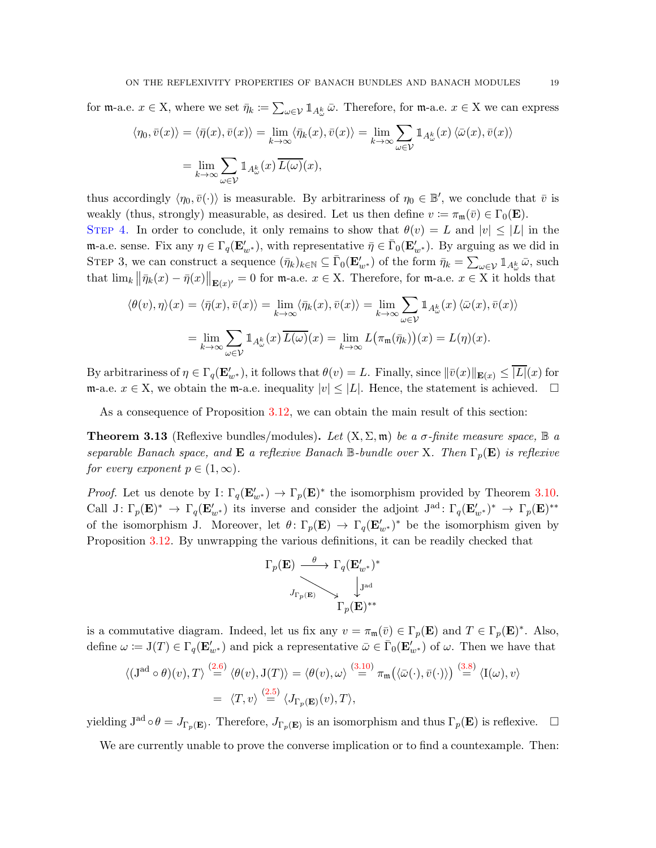for  $\mathfrak{m}$ -a.e.  $x \in X$ , where we set  $\bar{\eta}_k := \sum_{\omega \in \mathcal{V}} \mathbb{1}_{A^k_\omega} \bar{\omega}$ . Therefore, for  $\mathfrak{m}$ -a.e.  $x \in X$  we can express

$$
\langle \eta_0, \bar{v}(x) \rangle = \langle \bar{\eta}(x), \bar{v}(x) \rangle = \lim_{k \to \infty} \langle \bar{\eta}_k(x), \bar{v}(x) \rangle = \lim_{k \to \infty} \sum_{\omega \in \mathcal{V}} \mathbb{1}_{A^k_{\omega}}(x) \langle \bar{\omega}(x), \bar{v}(x) \rangle
$$

$$
= \lim_{k \to \infty} \sum_{\omega \in \mathcal{V}} \mathbb{1}_{A^k_{\omega}}(x) \overline{L(\omega)}(x),
$$

thus accordingly  $\langle \eta_0, \bar{v}(\cdot) \rangle$  is measurable. By arbitrariness of  $\eta_0 \in \mathbb{B}'$ , we conclude that  $\bar{v}$  is weakly (thus, strongly) measurable, as desired. Let us then define  $v := \pi_{\mathfrak{m}}(\bar{v}) \in \Gamma_0(\mathbf{E})$ . STEP 4. In order to conclude, it only remains to show that  $\theta(v) = L$  and  $|v| \leq |L|$  in the m-a.e. sense. Fix any  $\eta \in \Gamma_q(\mathbf{E}_{w^*}')$ , with representative  $\bar{\eta} \in \bar{\Gamma}_0(\mathbf{E}_{w^*}')$ . By arguing as we did in STEP 3, we can construct a sequence  $(\bar{\eta}_k)_{k \in \mathbb{N}} \subseteq \bar{\Gamma}_0(\mathbf{E}'_{w^*})$  of the form  $\bar{\eta}_k = \sum_{\omega \in \mathcal{V}} \mathbb{1}_{A^k_{\omega}} \bar{\omega}$ , such that  $\lim_{k} ||\bar{\eta}_{k}(x) - \bar{\eta}(x)||_{\mathbf{E}(x)} = 0$  for m-a.e.  $x \in \mathcal{X}$ . Therefore, for m-a.e.  $x \in \mathcal{X}$  it holds that

$$
\langle \theta(v), \eta \rangle(x) = \langle \bar{\eta}(x), \bar{v}(x) \rangle = \lim_{k \to \infty} \langle \bar{\eta}_k(x), \bar{v}(x) \rangle = \lim_{k \to \infty} \sum_{\omega \in \mathcal{V}} \mathbb{1}_{A^k_{\omega}}(x) \langle \bar{\omega}(x), \bar{v}(x) \rangle
$$

$$
= \lim_{k \to \infty} \sum_{\omega \in \mathcal{V}} \mathbb{1}_{A^k_{\omega}}(x) \overline{L(\omega)}(x) = \lim_{k \to \infty} L(\pi_m(\bar{\eta}_k))(x) = L(\eta)(x).
$$

By arbitrariness of  $\eta \in \Gamma_q(\mathbf{E}_{w^*}')$ , it follows that  $\theta(v) = L$ . Finally, since  $\|\bar{v}(x)\|_{\mathbf{E}(x)} \leq \overline{|L|}(x)$  for m-a.e.  $x \in X$ , we obtain the m-a.e. inequality  $|v| \leq |L|$ . Hence, the statement is achieved. □

As a consequence of Proposition [3.12,](#page-16-2) we can obtain the main result of this section:

<span id="page-18-0"></span>**Theorem 3.13** (Reflexive bundles/modules). Let  $(X, \Sigma, \mathfrak{m})$  be a  $\sigma$ -finite measure space,  $\mathbb{B}$  a separable Banach space, and **E** a reflexive Banach B-bundle over X. Then  $\Gamma_p(\mathbf{E})$  is reflexive for every exponent  $p \in (1,\infty)$ .

*Proof.* Let us denote by I:  $\Gamma_q(\mathbf{E}'_{w^*}) \to \Gamma_p(\mathbf{E})^*$  the isomorphism provided by Theorem [3.10.](#page-14-1) Call  $J: \Gamma_p(\mathbf{E})^* \to \Gamma_q(\mathbf{E}'_{w^*})$  its inverse and consider the adjoint  $J^{ad}: \Gamma_q(\mathbf{E}'_{w^*})^* \to \Gamma_p(\mathbf{E})^{**}$ of the isomorphism J. Moreover, let  $\theta\colon \Gamma_p(\mathbf{E}) \to \Gamma_q(\mathbf{E}'_{w^*})^*$  be the isomorphism given by Proposition [3.12.](#page-16-2) By unwrapping the various definitions, it can be readily checked that



is a commutative diagram. Indeed, let us fix any  $v = \pi_{\mathfrak{m}}(\bar{v}) \in \Gamma_p(\mathbf{E})$  and  $T \in \Gamma_p(\mathbf{E})^*$ . Also, define  $\omega := \mathcal{J}(T) \in \Gamma_q(\mathbf{E}'_{w^*})$  and pick a representative  $\bar{\omega} \in \bar{\Gamma}_0(\mathbf{E}'_{w^*})$  of  $\omega$ . Then we have that

$$
\langle (\mathbf{J}^{\mathrm{ad}} \circ \theta)(v), T \rangle \stackrel{(2.6)}{=} \langle \theta(v), \mathbf{J}(T) \rangle = \langle \theta(v), \omega \rangle \stackrel{(3.10)}{=} \pi_{\mathfrak{m}} (\langle \bar{\omega}(\cdot), \bar{v}(\cdot) \rangle) \stackrel{(3.8)}{=} \langle \mathbf{I}(\omega), v \rangle
$$
  
=  $\langle T, v \rangle \stackrel{(2.5)}{=} \langle J_{\Gamma_p(\mathbf{E})}(v), T \rangle$ ,

yielding  $J^{ad} \circ \theta = J_{\Gamma_p(\mathbf{E})}$ . Therefore,  $J_{\Gamma_p(\mathbf{E})}$  is an isomorphism and thus  $\Gamma_p(\mathbf{E})$  is reflexive.  $\Box$ 

We are currently unable to prove the converse implication or to find a countexample. Then: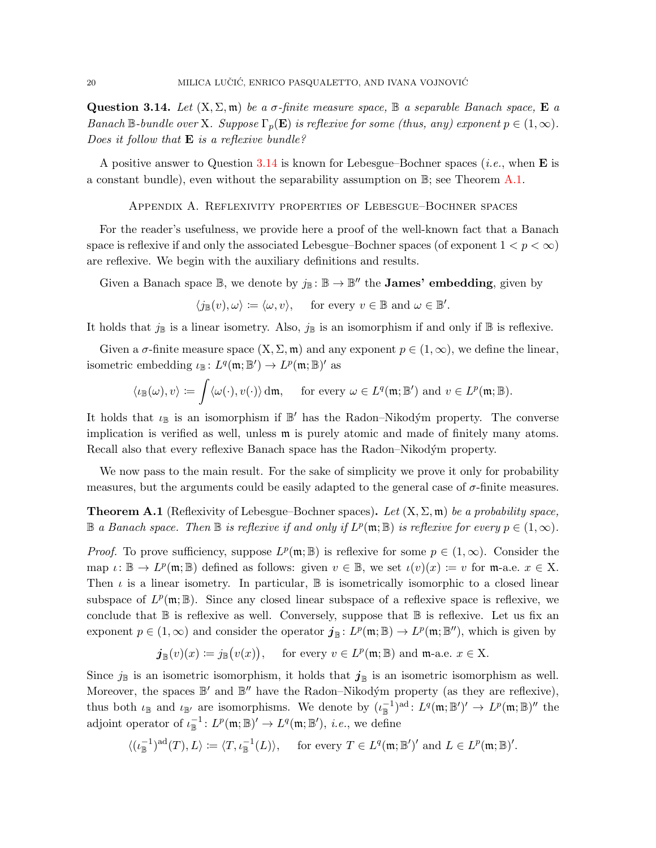<span id="page-19-1"></span>**Question 3.14.** Let  $(X, \Sigma, \mathfrak{m})$  be a  $\sigma$ -finite measure space,  $\mathbb{B}$  a separable Banach space,  $\mathbb{E}$  a Banach B-bundle over X. Suppose  $\Gamma_p(\mathbf{E})$  is reflexive for some (thus, any) exponent  $p \in (1,\infty)$ . Does it follow that  $\bf{E}$  is a reflexive bundle?

<span id="page-19-0"></span>A positive answer to Question [3.14](#page-19-1) is known for Lebesgue–Bochner spaces (*i.e.*, when **E** is a constant bundle), even without the separability assumption on  $\mathbb{B}$ ; see Theorem [A.1.](#page-19-2)

Appendix A. Reflexivity properties of Lebesgue–Bochner spaces

For the reader's usefulness, we provide here a proof of the well-known fact that a Banach space is reflexive if and only the associated Lebesgue–Bochner spaces (of exponent  $1 < p < \infty$ ) are reflexive. We begin with the auxiliary definitions and results.

Given a Banach space  $\mathbb{B}$ , we denote by  $j_{\mathbb{B}} : \mathbb{B} \to \mathbb{B}''$  the **James' embedding**, given by

$$
\langle j_{\mathbb{B}}(v), \omega \rangle \coloneqq \langle \omega, v \rangle, \quad \text{ for every } v \in \mathbb{B} \text{ and } \omega \in \mathbb{B}'.
$$

It holds that  $j_{\mathbb{B}}$  is a linear isometry. Also,  $j_{\mathbb{B}}$  is an isomorphism if and only if  $\mathbb{B}$  is reflexive.

Given a  $\sigma$ -finite measure space  $(X, \Sigma, \mathfrak{m})$  and any exponent  $p \in (1, \infty)$ , we define the linear, isometric embedding  $\iota_{\mathbb{B}}: L^q(\mathfrak{m}; \mathbb{B}') \to L^p(\mathfrak{m}; \mathbb{B})'$  as

$$
\langle \iota_{\mathbb{B}}(\omega), v \rangle \coloneqq \int \langle \omega(\cdot), v(\cdot) \rangle \, \mathrm{d}\mathfrak{m}, \quad \text{ for every } \omega \in L^q(\mathfrak{m}; \mathbb{B}') \text{ and } v \in L^p(\mathfrak{m}; \mathbb{B}).
$$

It holds that  $\iota_{\mathbb{B}}$  is an isomorphism if  $\mathbb{B}'$  has the Radon–Nikodým property. The converse implication is verified as well, unless m is purely atomic and made of finitely many atoms. Recall also that every reflexive Banach space has the Radon–Nikodým property.

We now pass to the main result. For the sake of simplicity we prove it only for probability measures, but the arguments could be easily adapted to the general case of  $\sigma$ -finite measures.

<span id="page-19-2"></span>**Theorem A.1** (Reflexivity of Lebesgue–Bochner spaces). Let  $(X, \Sigma, \mathfrak{m})$  be a probability space,  $\mathbb B$  a Banach space. Then  $\mathbb B$  is reflexive if and only if  $L^p(\mathfrak m;\mathbb B)$  is reflexive for every  $p\in (1,\infty)$ .

*Proof.* To prove sufficiency, suppose  $L^p(\mathfrak{m}; \mathbb{B})$  is reflexive for some  $p \in (1, \infty)$ . Consider the map  $\iota: \mathbb{B} \to L^p(\mathfrak{m}; \mathbb{B})$  defined as follows: given  $v \in \mathbb{B}$ , we set  $\iota(v)(x) \coloneqq v$  for  $\mathfrak{m}$ -a.e.  $x \in X$ . Then  $\iota$  is a linear isometry. In particular,  $\mathbb B$  is isometrically isomorphic to a closed linear subspace of  $L^p(\mathfrak{m}; \mathbb{B})$ . Since any closed linear subspace of a reflexive space is reflexive, we conclude that  $\mathbb B$  is reflexive as well. Conversely, suppose that  $\mathbb B$  is reflexive. Let us fix an exponent  $p \in (1,\infty)$  and consider the operator  $\mathbf{j}_{\mathbb{B}}: L^p(\mathfrak{m};\mathbb{B}) \to L^p(\mathfrak{m};\mathbb{B}'')$ , which is given by

$$
j_{\mathbb{B}}(v)(x) := j_{\mathbb{B}}(v(x)),
$$
 for every  $v \in L^p(\mathfrak{m}; \mathbb{B})$  and  $\mathfrak{m}$ -a.e.  $x \in X$ .

Since  $j_{\mathbb{B}}$  is an isometric isomorphism, it holds that  $j_{\mathbb{B}}$  is an isometric isomorphism as well. Moreover, the spaces  $\mathbb{B}'$  and  $\mathbb{B}''$  have the Radon–Nikodým property (as they are reflexive), thus both  $\iota_{\mathbb{B}}$  and  $\iota_{\mathbb{B}'}$  are isomorphisms. We denote by  $(\iota_{\mathbb{B}}^{-1})^{\text{ad}}: L^q(\mathfrak{m}; \mathbb{B}')' \to L^p(\mathfrak{m}; \mathbb{B})''$  the adjoint operator of  $\iota_{\mathbb{B}}^{-1}$ :  $L^p(\mathfrak{m}; \mathbb{B})' \to L^q(\mathfrak{m}; \mathbb{B}')$ , *i.e.*, we define

$$
\langle (\iota_{\mathbb{B}}^{-1})^{\mathrm{ad}}(T), L \rangle \coloneqq \langle T, \iota_{\mathbb{B}}^{-1}(L) \rangle, \quad \text{ for every } T \in L^{q}(\mathfrak{m}; \mathbb{B}')' \text{ and } L \in L^{p}(\mathfrak{m}; \mathbb{B})'.
$$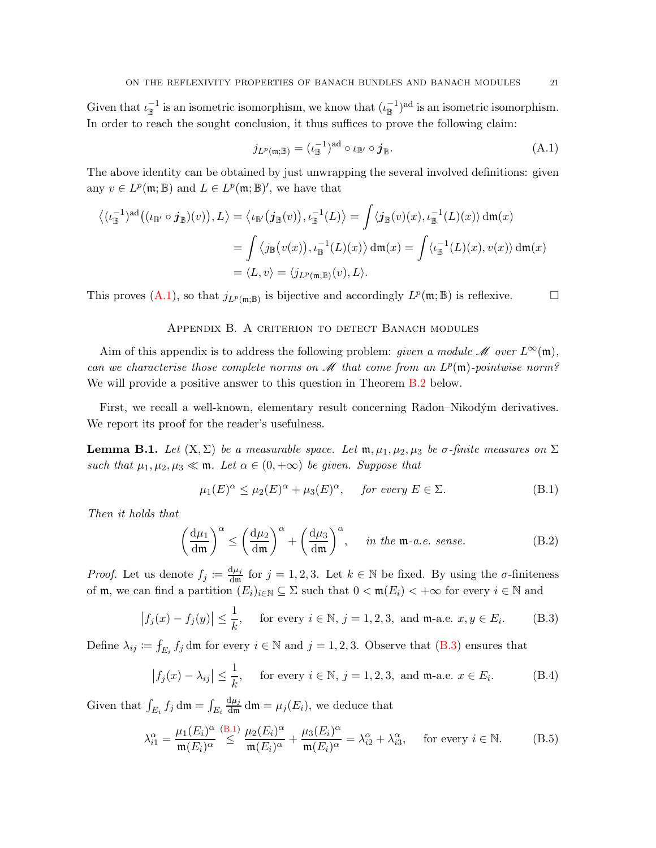Given that  $\iota_{\mathbb{B}}^{-1}$  is an isometric isomorphism, we know that  $(\iota_{\mathbb{B}}^{-1})^{\text{ad}}$  is an isometric isomorphism. In order to reach the sought conclusion, it thus suffices to prove the following claim:

<span id="page-20-1"></span>
$$
j_{L^p(\mathfrak{m},\mathbb{B})} = (\iota_{\mathbb{B}}^{-1})^{\mathrm{ad}} \circ \iota_{\mathbb{B}'} \circ j_{\mathbb{B}}.\tag{A.1}
$$

The above identity can be obtained by just unwrapping the several involved definitions: given any  $v \in L^p(\mathfrak{m}; \mathbb{B})$  and  $L \in L^p(\mathfrak{m}; \mathbb{B})'$ , we have that

$$
\langle (\iota_{\mathbb{B}}^{-1})^{\mathrm{ad}} ((\iota_{\mathbb{B}'} \circ j_{\mathbb{B}})(v)), L \rangle = \langle \iota_{\mathbb{B}'} (j_{\mathbb{B}}(v)), \iota_{\mathbb{B}}^{-1}(L) \rangle = \int \langle j_{\mathbb{B}}(v)(x), \iota_{\mathbb{B}}^{-1}(L)(x) \rangle \, \mathrm{d}\mathfrak{m}(x)
$$
  

$$
= \int \langle j_{\mathbb{B}}(v(x)), \iota_{\mathbb{B}}^{-1}(L)(x) \rangle \, \mathrm{d}\mathfrak{m}(x) = \int \langle \iota_{\mathbb{B}}^{-1}(L)(x), v(x) \rangle \, \mathrm{d}\mathfrak{m}(x)
$$
  

$$
= \langle L, v \rangle = \langle j_{L^p(\mathfrak{m}, \mathbb{B})}(v), L \rangle.
$$

<span id="page-20-0"></span>This proves  $(A.1)$ , so that  $j_{L^p(\mathfrak{m};\mathbb{B})}$  is bijective and accordingly  $L^p(\mathfrak{m};\mathbb{B})$  is reflexive.

### APPENDIX B. A CRITERION TO DETECT BANACH MODULES

Aim of this appendix is to address the following problem: *given a module*  $M$  over  $L^{\infty}(\mathfrak{m})$ , can we characterise those complete norms on  $\mathcal M$  that come from an  $L^p(\mathfrak m)$ -pointwise norm? We will provide a positive answer to this question in Theorem [B.2](#page-21-0) below.

First, we recall a well-known, elementary result concerning Radon–Nikodým derivatives. We report its proof for the reader's usefulness.

<span id="page-20-7"></span>**Lemma B.1.** Let  $(X, \Sigma)$  be a measurable space. Let  $\mathfrak{m}, \mu_1, \mu_2, \mu_3$  be  $\sigma$ -finite measures on  $\Sigma$ such that  $\mu_1, \mu_2, \mu_3 \ll \mathfrak{m}$ . Let  $\alpha \in (0, +\infty)$  be given. Suppose that

<span id="page-20-3"></span>
$$
\mu_1(E)^{\alpha} \le \mu_2(E)^{\alpha} + \mu_3(E)^{\alpha}, \quad \text{for every } E \in \Sigma.
$$
 (B.1)

Then it holds that

<span id="page-20-6"></span>
$$
\left(\frac{d\mu_1}{dm}\right)^{\alpha} \le \left(\frac{d\mu_2}{dm}\right)^{\alpha} + \left(\frac{d\mu_3}{dm}\right)^{\alpha}, \quad in the \text{ m-a.e. sense.} \tag{B.2}
$$

*Proof.* Let us denote  $f_j \coloneqq \frac{d\mu_j}{dm}$  $\frac{d\mu_j}{dm}$  for  $j = 1, 2, 3$ . Let  $k \in \mathbb{N}$  be fixed. By using the  $\sigma$ -finiteness of  $\mathfrak{m}$ , we can find a partition  $(E_i)_{i\in\mathbb{N}}\subseteq\Sigma$  such that  $0<\mathfrak{m}(E_i)<+\infty$  for every  $i\in\mathbb{N}$  and

<span id="page-20-2"></span>
$$
|f_j(x) - f_j(y)| \le \frac{1}{k}
$$
, for every  $i \in \mathbb{N}$ ,  $j = 1, 2, 3$ , and m-a.e.  $x, y \in E_i$ . (B.3)

Define  $\lambda_{ij} := \int_{E_i} f_j \, d\mathfrak{m}$  for every  $i \in \mathbb{N}$  and  $j = 1, 2, 3$ . Observe that  $(B.3)$  ensures that

<span id="page-20-4"></span>
$$
\left|f_j(x) - \lambda_{ij}\right| \le \frac{1}{k}, \quad \text{for every } i \in \mathbb{N}, j = 1, 2, 3, \text{ and } \mathfrak{m}\text{-a.e. } x \in E_i.
$$
 (B.4)

Given that  $\int_{E_i} f_j dm = \int_{E_i}$  $\frac{d\mu_j}{dm} dm = \mu_j(E_i)$ , we deduce that

<span id="page-20-5"></span>
$$
\lambda_{i1}^{\alpha} = \frac{\mu_1(E_i)^{\alpha}}{\mathfrak{m}(E_i)^{\alpha}} \stackrel{\text{(B.1)}}{\leq} \frac{\mu_2(E_i)^{\alpha}}{\mathfrak{m}(E_i)^{\alpha}} + \frac{\mu_3(E_i)^{\alpha}}{\mathfrak{m}(E_i)^{\alpha}} = \lambda_{i2}^{\alpha} + \lambda_{i3}^{\alpha}, \quad \text{for every } i \in \mathbb{N}. \tag{B.5}
$$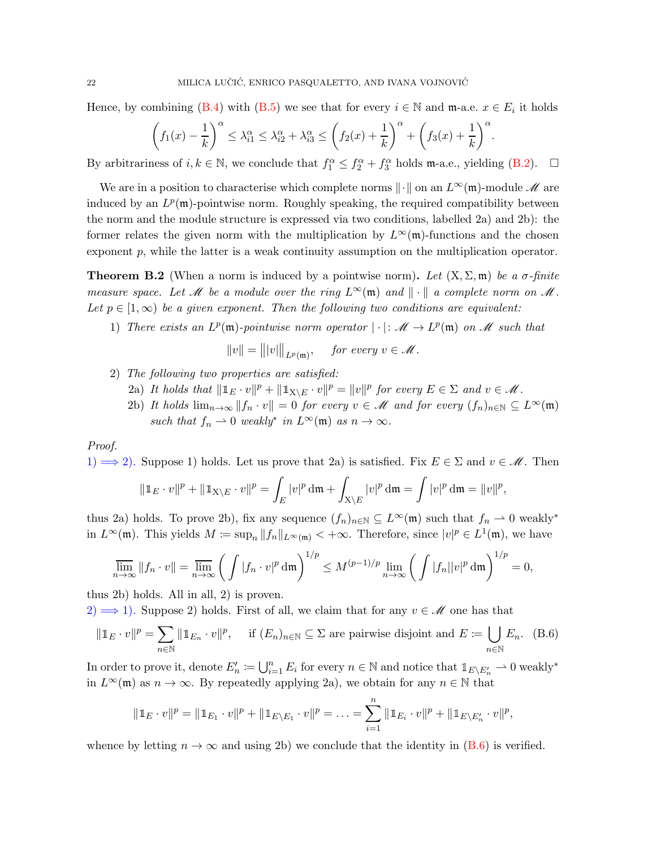Hence, by combining [\(B.4\)](#page-20-4) with [\(B.5\)](#page-20-5) we see that for every  $i \in \mathbb{N}$  and  $\mathfrak{m}$ -a.e.  $x \in E_i$  it holds

$$
\left(f_1(x) - \frac{1}{k}\right)^{\alpha} \leq \lambda_{i1}^{\alpha} \leq \lambda_{i2}^{\alpha} + \lambda_{i3}^{\alpha} \leq \left(f_2(x) + \frac{1}{k}\right)^{\alpha} + \left(f_3(x) + \frac{1}{k}\right)^{\alpha}.
$$

By arbitrariness of  $i, k \in \mathbb{N}$ , we conclude that  $f_1^{\alpha} \leq f_2^{\alpha} + f_3^{\alpha}$  holds m-a.e., yielding [\(B.2\)](#page-20-6).  $\Box$ 

We are in a position to characterise which complete norms  $\|\cdot\|$  on an  $L^{\infty}(\mathfrak{m})$ -module M are induced by an  $L^p(\mathfrak{m})$ -pointwise norm. Roughly speaking, the required compatibility between the norm and the module structure is expressed via two conditions, labelled 2a) and 2b): the former relates the given norm with the multiplication by  $L^{\infty}(\mathfrak{m})$ -functions and the chosen exponent p, while the latter is a weak continuity assumption on the multiplication operator.

<span id="page-21-0"></span>**Theorem B.2** (When a norm is induced by a pointwise norm). Let  $(X, \Sigma, \mathfrak{m})$  be a  $\sigma$ -finite measure space. Let M be a module over the ring  $L^{\infty}(\mathfrak{m})$  and  $\|\cdot\|$  a complete norm on M. Let  $p \in [1,\infty)$  be a given exponent. Then the following two conditions are equivalent:

1) There exists an  $L^p(\mathfrak{m})$ -pointwise norm operator  $|\cdot|: \mathcal{M} \to L^p(\mathfrak{m})$  on M such that

$$
||v|| = |||v|||_{L^p(\mathfrak{m})}, \quad \text{ for every } v \in \mathcal{M}.
$$

- 2) The following two properties are satisfied:
	- 2a) It holds that  $\|\mathbb{1}_E \cdot v\|^p + \|\mathbb{1}_{X\setminus E} \cdot v\|^p = \|v\|^p$  for every  $E \in \Sigma$  and  $v \in \mathcal{M}$ .
	- 2b) It holds  $\lim_{n\to\infty}||f_n\cdot v||=0$  for every  $v\in\mathscr{M}$  and for every  $(f_n)_{n\in\mathbb{N}}\subseteq L^{\infty}(\mathfrak{m})$ such that  $f_n \rightharpoonup 0$  weakly<sup>\*</sup> in  $L^{\infty}(\mathfrak{m})$  as  $n \to \infty$ .

#### Proof.

1)  $\implies$  2). Suppose 1) holds. Let us prove that 2a) is satisfied. Fix  $E \in \Sigma$  and  $v \in \mathcal{M}$ . Then

$$
\|\mathbb{1}_E \cdot v\|^p + \|\mathbb{1}_{X \setminus E} \cdot v\|^p = \int_E |v|^p \, \mathrm{d}\mathfrak{m} + \int_{X \setminus E} |v|^p \, \mathrm{d}\mathfrak{m} = \int |v|^p \, \mathrm{d}\mathfrak{m} = \|v\|^p,
$$

thus 2a) holds. To prove 2b), fix any sequence  $(f_n)_{n\in\mathbb{N}}\subseteq L^{\infty}(\mathfrak{m})$  such that  $f_n\to 0$  weakly<sup>\*</sup> in  $L^{\infty}(\mathfrak{m})$ . This yields  $M := \sup_n ||f_n||_{L^{\infty}(\mathfrak{m})} < +\infty$ . Therefore, since  $|v|^p \in L^1(\mathfrak{m})$ , we have

$$
\overline{\lim}_{n\to\infty}||f_n\cdot v|| = \overline{\lim}_{n\to\infty} \left(\int |f_n\cdot v|^p \, \mathrm{d}\mathfrak{m}\right)^{1/p} \le M^{(p-1)/p} \lim_{n\to\infty} \left(\int |f_n||v|^p \, \mathrm{d}\mathfrak{m}\right)^{1/p} = 0,
$$

thus 2b) holds. All in all, 2) is proven.

2)  $\implies$  1). Suppose 2) holds. First of all, we claim that for any  $v \in \mathcal{M}$  one has that

<span id="page-21-1"></span>
$$
\|\mathbb{1}_E \cdot v\|^p = \sum_{n \in \mathbb{N}} \|\mathbb{1}_{E_n} \cdot v\|^p, \quad \text{ if } (E_n)_{n \in \mathbb{N}} \subseteq \Sigma \text{ are pairwise disjoint and } E \coloneqq \bigcup_{n \in \mathbb{N}} E_n. \tag{B.6}
$$

In order to prove it, denote  $E'_n \coloneqq \bigcup_{i=1}^n E_i$  for every  $n \in \mathbb{N}$  and notice that  $\mathbb{1}_{E \setminus E'_n} \to 0$  weakly<sup>\*</sup> in  $L^{\infty}(\mathfrak{m})$  as  $n \to \infty$ . By repeatedly applying 2a), we obtain for any  $n \in \mathbb{N}$  that

$$
\|\mathbb{1}_E \cdot v\|^p = \|\mathbb{1}_{E_1} \cdot v\|^p + \|\mathbb{1}_{E \setminus E_1} \cdot v\|^p = \ldots = \sum_{i=1}^n \|\mathbb{1}_{E_i} \cdot v\|^p + \|\mathbb{1}_{E \setminus E'_n} \cdot v\|^p,
$$

whence by letting  $n \to \infty$  and using 2b) we conclude that the identity in [\(B.6\)](#page-21-1) is verified.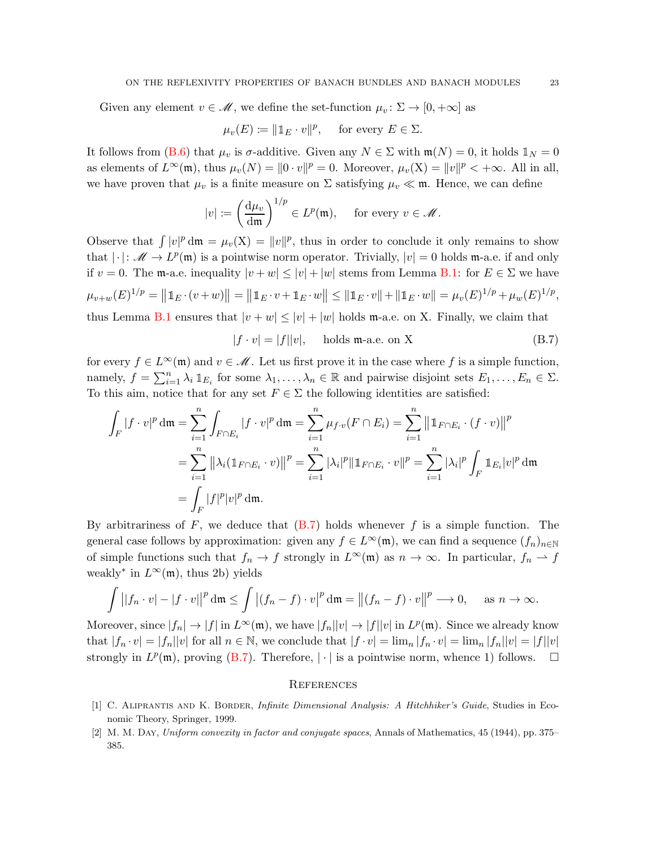Given any element  $v \in \mathcal{M}$ , we define the set-function  $\mu_v : \Sigma \to [0, +\infty]$  as

$$
\mu_v(E) \coloneqq ||\mathbb{1}_E \cdot v||^p, \quad \text{ for every } E \in \Sigma.
$$

It follows from [\(B.6\)](#page-21-1) that  $\mu_v$  is  $\sigma$ -additive. Given any  $N \in \Sigma$  with  $\mathfrak{m}(N) = 0$ , it holds  $\mathbb{1}_N = 0$ as elements of  $L^{\infty}(\mathfrak{m})$ , thus  $\mu_v(N) = ||0 \cdot v||^p = 0$ . Moreover,  $\mu_v(X) = ||v||^p < +\infty$ . All in all, we have proven that  $\mu_v$  is a finite measure on  $\Sigma$  satisfying  $\mu_v \ll \mathfrak{m}$ . Hence, we can define

$$
|v| := \left(\frac{d\mu_v}{dm}\right)^{1/p} \in L^p(\mathfrak{m}), \quad \text{ for every } v \in \mathcal{M}.
$$

Observe that  $\int |v|^p d\mathfrak{m} = \mu_v(X) = ||v||^p$ , thus in order to conclude it only remains to show that  $|\cdot|: \mathscr{M} \to L^p(\mathfrak{m})$  is a pointwise norm operator. Trivially,  $|v|=0$  holds m-a.e. if and only if  $v = 0$ . The m-a.e. inequality  $|v + w| \le |v| + |w|$  stems from Lemma [B.1:](#page-20-7) for  $E \in \Sigma$  we have  $\mu_{v+w}(E)^{1/p} = ||\mathbb{1}_E \cdot (v+w)|| = ||\mathbb{1}_E \cdot v + \mathbb{1}_E \cdot w|| \le ||\mathbb{1}_E \cdot v|| + ||\mathbb{1}_E \cdot w|| = \mu_v(E)^{1/p} + \mu_w(E)^{1/p},$ thus Lemma [B.1](#page-20-7) ensures that  $|v + w| \le |v| + |w|$  holds m-a.e. on X. Finally, we claim that

<span id="page-22-3"></span> $|f \cdot v| = |f||v|$ , holds m-a.e. on X (B.7)

for every  $f \in L^{\infty}(\mathfrak{m})$  and  $v \in \mathcal{M}$ . Let us first prove it in the case where f is a simple function, namely,  $f = \sum_{i=1}^n \lambda_i 1\!\!1_{E_i}$  for some  $\lambda_1, \ldots, \lambda_n \in \mathbb{R}$  and pairwise disjoint sets  $E_1, \ldots, E_n \in \Sigma$ . To this aim, notice that for any set  $F \in \Sigma$  the following identities are satisfied:

$$
\int_{F} |f \cdot v|^{p} dm = \sum_{i=1}^{n} \int_{F \cap E_{i}} |f \cdot v|^{p} dm = \sum_{i=1}^{n} \mu_{f \cdot v} (F \cap E_{i}) = \sum_{i=1}^{n} ||\mathbb{1}_{F \cap E_{i}} \cdot (f \cdot v)||^{p}
$$

$$
= \sum_{i=1}^{n} ||\lambda_{i} (\mathbb{1}_{F \cap E_{i}} \cdot v)||^{p} = \sum_{i=1}^{n} |\lambda_{i}|^{p} ||\mathbb{1}_{F \cap E_{i}} \cdot v||^{p} = \sum_{i=1}^{n} |\lambda_{i}|^{p} \int_{F} \mathbb{1}_{E_{i}} |v|^{p} dm
$$

$$
= \int_{F} |f|^{p} |v|^{p} dm.
$$

By arbitrariness of  $F$ , we deduce that  $(B.7)$  holds whenever f is a simple function. The general case follows by approximation: given any  $f \in L^{\infty}(\mathfrak{m})$ , we can find a sequence  $(f_n)_{n\in\mathbb{N}}$ of simple functions such that  $f_n \to f$  strongly in  $L^{\infty}(\mathfrak{m})$  as  $n \to \infty$ . In particular,  $f_n \to f$ weakly<sup>\*</sup> in  $L^{\infty}(\mathfrak{m})$ , thus 2b) yields

$$
\int \left| |f_n \cdot v| - |f \cdot v| \right|^p \mathrm{d}\mathfrak{m} \le \int \left| (f_n - f) \cdot v \right|^p \mathrm{d}\mathfrak{m} = \left| | (f_n - f) \cdot v | \right|^p \longrightarrow 0, \quad \text{as } n \to \infty.
$$

Moreover, since  $|f_n| \to |f|$  in  $L^{\infty}(\mathfrak{m})$ , we have  $|f_n||v| \to |f||v|$  in  $L^p(\mathfrak{m})$ . Since we already know that  $|f_n \cdot v| = |f_n||v|$  for all  $n \in \mathbb{N}$ , we conclude that  $|f \cdot v| = \lim_n |f_n \cdot v| = \lim_n |f_n||v| = |f||v|$ strongly in  $L^p(\mathfrak{m})$ , proving [\(B.7\)](#page-22-3). Therefore,  $|\cdot|$  is a pointwise norm, whence 1) follows.  $\square$ 

#### <span id="page-22-0"></span>**REFERENCES**

- <span id="page-22-2"></span>[1] C. Aliprantis and K. Border, Infinite Dimensional Analysis: A Hitchhiker's Guide, Studies in Economic Theory, Springer, 1999.
- <span id="page-22-1"></span>[2] M. M. Day, Uniform convexity in factor and conjugate spaces, Annals of Mathematics, 45 (1944), pp. 375– 385.